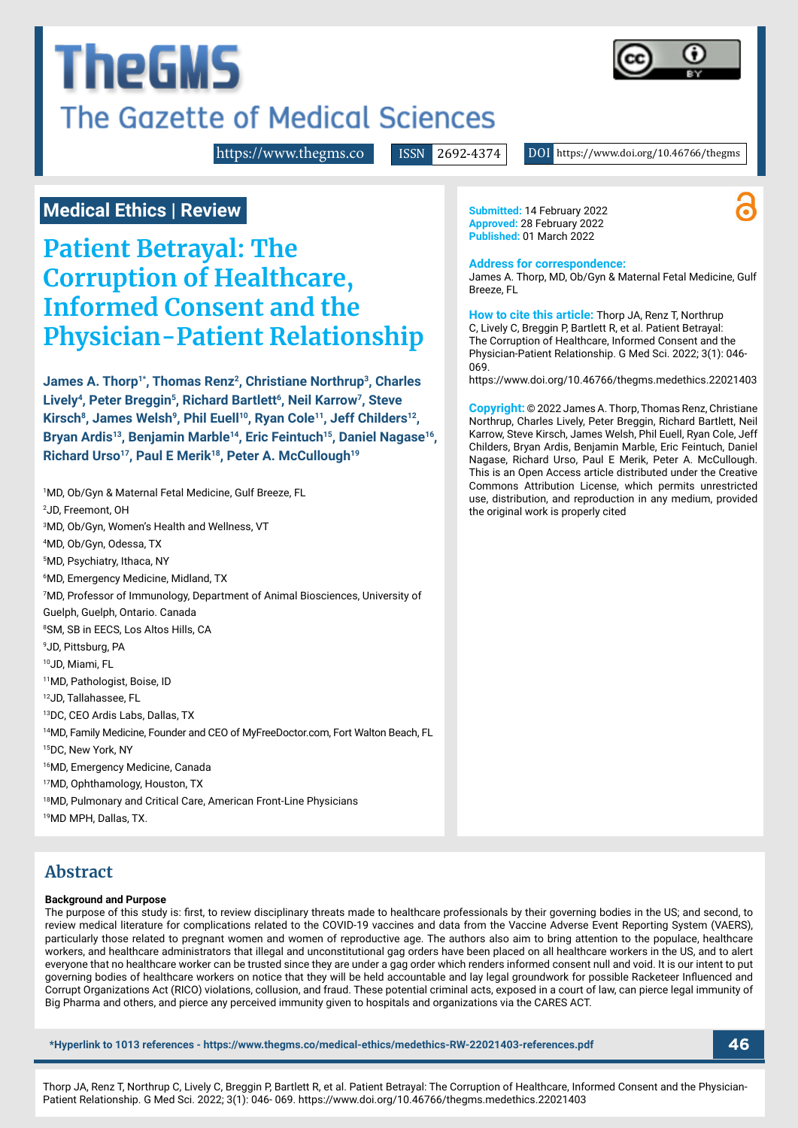# **TheGMS** The Gazette of Medical Sciences



<https://www.thegms.co>

ISSN 2692-4374 DOI https://www.doi.org/10.46766/thegms

# **Medical Ethics | Review**

**Patient Betrayal: The Corruption of Healthcare, Informed Consent and the Physician-Patient Relationship**

James A. Thorp<sup>1\*</sup>, Thomas Renz<sup>2</sup>, Christiane Northrup<sup>3</sup>, Charles Lively<sup>4</sup>, Peter Breggin<sup>5</sup>, Richard Bartlett<sup>6</sup>, Neil Karrow<sup>7</sup>, Steve Kirsch<sup>8</sup>, James Welsh<sup>9</sup>, Phil Euell<sup>10</sup>, Ryan Cole<sup>11</sup>, Jeff Childers<sup>12</sup>, Bryan Ardis<sup>13</sup>, Benjamin Marble<sup>14</sup>, Eric Feintuch<sup>15</sup>, Daniel Nagase<sup>16</sup>, Richard Urso<sup>17</sup>, Paul E Merik<sup>18</sup>, Peter A. McCullough<sup>19</sup>

1 MD, Ob/Gyn & Maternal Fetal Medicine, Gulf Breeze, FL 2 JD, Freemont, OH 3 MD, Ob/Gyn, Women's Health and Wellness, VT 4 MD, Ob/Gyn, Odessa, TX 5 MD, Psychiatry, Ithaca, NY 6 MD, Emergency Medicine, Midland, TX 7 MD, Professor of Immunology, Department of Animal Biosciences, University of Guelph, Guelph, Ontario. Canada 8 SM, SB in EECS, Los Altos Hills, CA 9 JD, Pittsburg, PA 10JD, Miami, FL 11MD, Pathologist, Boise, ID 12JD, Tallahassee, FL 13DC, CEO Ardis Labs, Dallas, TX 14MD, Family Medicine, Founder and CEO of MyFreeDoctor.com, Fort Walton Beach, FL 15DC, New York, NY 16MD, Emergency Medicine, Canada 17MD, Ophthamology, Houston, TX 18MD, Pulmonary and Critical Care, American Front-Line Physicians 19MD MPH, Dallas, TX.

# **Abstract**

#### **Background and Purpose**

The purpose of this study is: first, to review disciplinary threats made to healthcare professionals by their governing bodies in the US; and second, to review medical literature for complications related to the COVID-19 vaccines and data from the Vaccine Adverse Event Reporting System (VAERS), particularly those related to pregnant women and women of reproductive age. The authors also aim to bring attention to the populace, healthcare workers, and healthcare administrators that illegal and unconstitutional gag orders have been placed on all healthcare workers in the US, and to alert everyone that no healthcare worker can be trusted since they are under a gag order which renders informed consent null and void. It is our intent to put governing bodies of healthcare workers on notice that they will be held accountable and lay legal groundwork for possible Racketeer Influenced and Corrupt Organizations Act (RICO) violations, collusion, and fraud. These potential criminal acts, exposed in a court of law, can pierce legal immunity of Big Pharma and others, and pierce any perceived immunity given to hospitals and organizations via the CARES ACT.

**\*Hyperlink to 1013 references - https://www.thegms.co/medical-ethics/medethics-RW-22021403-references.pdf 46**

**Submitted:** 14 February 2022 **Approved:** 28 February 2022 **Published:** 01 March 2022

#### **Address for correspondence:**

James A. Thorp, MD, Ob/Gyn & Maternal Fetal Medicine, Gulf Breeze, FL

**How to cite this article:** Thorp JA, Renz T, Northrup C, Lively C, Breggin P, Bartlett R, et al. Patient Betrayal: The Corruption of Healthcare, Informed Consent and the Physician-Patient Relationship. G Med Sci. 2022; 3(1): 046- 069.

https://www.doi.org/10.46766/thegms.medethics.22021403

**Copyright:** © 2022 James A. Thorp, Thomas Renz, Christiane Northrup, Charles Lively, Peter Breggin, Richard Bartlett, Neil Karrow, Steve Kirsch, James Welsh, Phil Euell, Ryan Cole, Jeff Childers, Bryan Ardis, Benjamin Marble, Eric Feintuch, Daniel Nagase, Richard Urso, Paul E Merik, Peter A. McCullough. This is an Open Access article distributed under the Creative Commons Attribution License, which permits unrestricted use, distribution, and reproduction in any medium, provided the original work is properly cited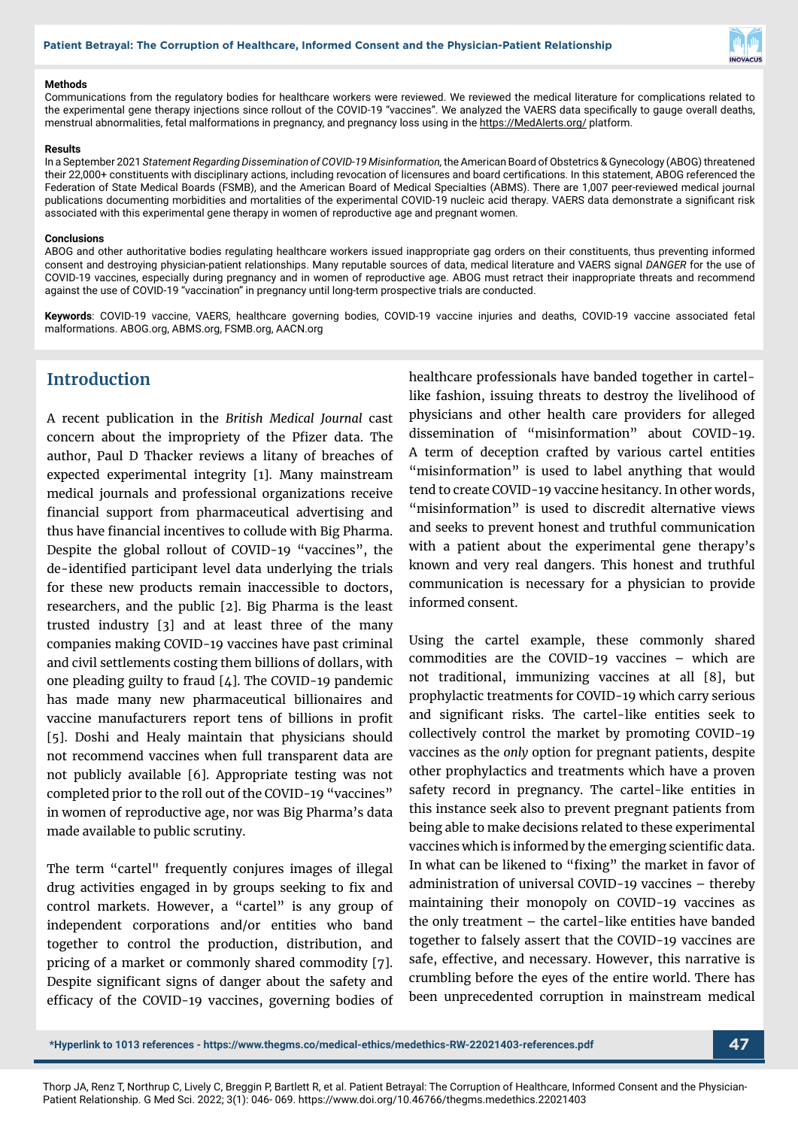

#### **Methods**

Communications from the regulatory bodies for healthcare workers were reviewed. We reviewed the medical literature for complications related to the experimental gene therapy injections since rollout of the COVID-19 "vaccines". We analyzed the VAERS data specifically to gauge overall deaths, menstrual abnormalities, fetal malformations in pregnancy, and pregnancy loss using in the https://MedAlerts.org/ platform.

#### **Results**

In a September 2021 *Statement Regarding Dissemination of COVID-19 Misinformation,* the American Board of Obstetrics & Gynecology (ABOG) threatened their 22,000+ constituents with disciplinary actions, including revocation of licensures and board certifications. In this statement, ABOG referenced the Federation of State Medical Boards (FSMB), and the American Board of Medical Specialties (ABMS). There are 1,007 peer-reviewed medical journal publications documenting morbidities and mortalities of the experimental COVID-19 nucleic acid therapy. VAERS data demonstrate a significant risk associated with this experimental gene therapy in women of reproductive age and pregnant women.

#### **Conclusions**

ABOG and other authoritative bodies regulating healthcare workers issued inappropriate gag orders on their constituents, thus preventing informed consent and destroying physician-patient relationships. Many reputable sources of data, medical literature and VAERS signal *DANGER* for the use of COVID-19 vaccines, especially during pregnancy and in women of reproductive age. ABOG must retract their inappropriate threats and recommend against the use of COVID-19 "vaccination" in pregnancy until long-term prospective trials are conducted.

**Keywords**: COVID-19 vaccine, VAERS, healthcare governing bodies, COVID-19 vaccine injuries and deaths, COVID-19 vaccine associated fetal malformations. ABOG.org, ABMS.org, FSMB.org, AACN.org

# **Introduction**

A recent publication in the *British Medical Journal* cast concern about the impropriety of the Pfizer data. The author, Paul D Thacker reviews a litany of breaches of expected experimental integrity [1]. Many mainstream medical journals and professional organizations receive financial support from pharmaceutical advertising and thus have financial incentives to collude with Big Pharma. Despite the global rollout of COVID-19 "vaccines", the de-identified participant level data underlying the trials for these new products remain inaccessible to doctors, researchers, and the public [2]. Big Pharma is the least trusted industry [3] and at least three of the many companies making COVID-19 vaccines have past criminal and civil settlements costing them billions of dollars, with one pleading guilty to fraud [4]. The COVID-19 pandemic has made many new pharmaceutical billionaires and vaccine manufacturers report tens of billions in profit [5]. Doshi and Healy maintain that physicians should not recommend vaccines when full transparent data are not publicly available [6]. Appropriate testing was not completed prior to the roll out of the COVID-19 "vaccines" in women of reproductive age, nor was Big Pharma's data made available to public scrutiny.

The term "cartel" frequently conjures images of illegal drug activities engaged in by groups seeking to fix and control markets. However, a "cartel" is any group of independent corporations and/or entities who band together to control the production, distribution, and pricing of a market or commonly shared commodity [7]. Despite significant signs of danger about the safety and efficacy of the COVID-19 vaccines, governing bodies of healthcare professionals have banded together in cartellike fashion, issuing threats to destroy the livelihood of physicians and other health care providers for alleged dissemination of "misinformation" about COVID-19. A term of deception crafted by various cartel entities "misinformation" is used to label anything that would tend to create COVID-19 vaccine hesitancy. In other words, "misinformation" is used to discredit alternative views and seeks to prevent honest and truthful communication with a patient about the experimental gene therapy's known and very real dangers. This honest and truthful communication is necessary for a physician to provide informed consent.

Using the cartel example, these commonly shared commodities are the COVID-19 vaccines – which are not traditional, immunizing vaccines at all [8], but prophylactic treatments for COVID-19 which carry serious and significant risks. The cartel-like entities seek to collectively control the market by promoting COVID-19 vaccines as the *only* option for pregnant patients, despite other prophylactics and treatments which have a proven safety record in pregnancy. The cartel-like entities in this instance seek also to prevent pregnant patients from being able to make decisions related to these experimental vaccines which is informed by the emerging scientific data. In what can be likened to "fixing" the market in favor of administration of universal COVID-19 vaccines – thereby maintaining their monopoly on COVID-19 vaccines as the only treatment – the cartel-like entities have banded together to falsely assert that the COVID-19 vaccines are safe, effective, and necessary. However, this narrative is crumbling before the eyes of the entire world. There has been unprecedented corruption in mainstream medical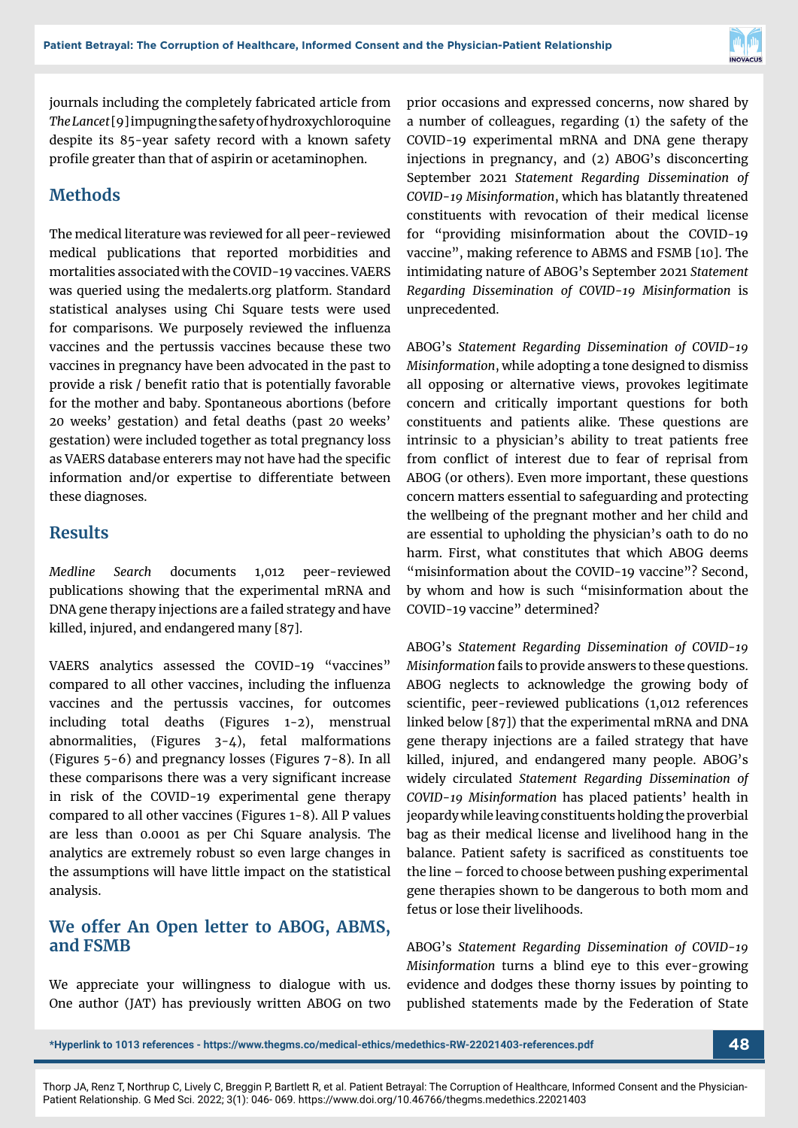

journals including the completely fabricated article from *The Lancet* [9] impugning the safety of hydroxychloroquine despite its 85-year safety record with a known safety profile greater than that of aspirin or acetaminophen.

#### **Methods**

The medical literature was reviewed for all peer-reviewed medical publications that reported morbidities and mortalities associated with the COVID-19 vaccines. VAERS was queried using the medalerts.org platform. Standard statistical analyses using Chi Square tests were used for comparisons. We purposely reviewed the influenza vaccines and the pertussis vaccines because these two vaccines in pregnancy have been advocated in the past to provide a risk / benefit ratio that is potentially favorable for the mother and baby. Spontaneous abortions (before 20 weeks' gestation) and fetal deaths (past 20 weeks' gestation) were included together as total pregnancy loss as VAERS database enterers may not have had the specific information and/or expertise to differentiate between these diagnoses.

#### **Results**

*Medline Search* documents 1,012 peer-reviewed publications showing that the experimental mRNA and DNA gene therapy injections are a failed strategy and have killed, injured, and endangered many [87].

VAERS analytics assessed the COVID-19 "vaccines" compared to all other vaccines, including the influenza vaccines and the pertussis vaccines, for outcomes including total deaths (Figures 1-2), menstrual abnormalities, (Figures 3-4), fetal malformations (Figures 5-6) and pregnancy losses (Figures 7-8). In all these comparisons there was a very significant increase in risk of the COVID-19 experimental gene therapy compared to all other vaccines (Figures 1-8). All P values are less than 0.0001 as per Chi Square analysis. The analytics are extremely robust so even large changes in the assumptions will have little impact on the statistical analysis.

#### **We offer An Open letter to ABOG, ABMS, and FSMB**

We appreciate your willingness to dialogue with us. One author (JAT) has previously written ABOG on two prior occasions and expressed concerns, now shared by a number of colleagues, regarding (1) the safety of the COVID-19 experimental mRNA and DNA gene therapy injections in pregnancy, and (2) ABOG's disconcerting September 2021 *Statement Regarding Dissemination of COVID-19 Misinformation*, which has blatantly threatened constituents with revocation of their medical license for "providing misinformation about the COVID-19 vaccine", making reference to ABMS and FSMB [10]. The intimidating nature of ABOG's September 2021 *Statement Regarding Dissemination of COVID-19 Misinformation* is unprecedented.

ABOG's *Statement Regarding Dissemination of COVID-19 Misinformation*, while adopting a tone designed to dismiss all opposing or alternative views, provokes legitimate concern and critically important questions for both constituents and patients alike. These questions are intrinsic to a physician's ability to treat patients free from conflict of interest due to fear of reprisal from ABOG (or others). Even more important, these questions concern matters essential to safeguarding and protecting the wellbeing of the pregnant mother and her child and are essential to upholding the physician's oath to do no harm. First, what constitutes that which ABOG deems "misinformation about the COVID-19 vaccine"? Second, by whom and how is such "misinformation about the COVID-19 vaccine" determined?

ABOG's *Statement Regarding Dissemination of COVID-19 Misinformation* fails to provide answers to these questions. ABOG neglects to acknowledge the growing body of scientific, peer-reviewed publications (1,012 references linked below [87]) that the experimental mRNA and DNA gene therapy injections are a failed strategy that have killed, injured, and endangered many people. ABOG's widely circulated *Statement Regarding Dissemination of COVID-19 Misinformation* has placed patients' health in jeopardy while leaving constituents holding the proverbial bag as their medical license and livelihood hang in the balance. Patient safety is sacrificed as constituents toe the line – forced to choose between pushing experimental gene therapies shown to be dangerous to both mom and fetus or lose their livelihoods.

ABOG's *Statement Regarding Dissemination of COVID-19 Misinformation* turns a blind eye to this ever-growing evidence and dodges these thorny issues by pointing to published statements made by the Federation of State

**<sup>\*</sup>Hyperlink to 1013 references - https://www.thegms.co/medical-ethics/medethics-RW-22021403-references.pdf 48**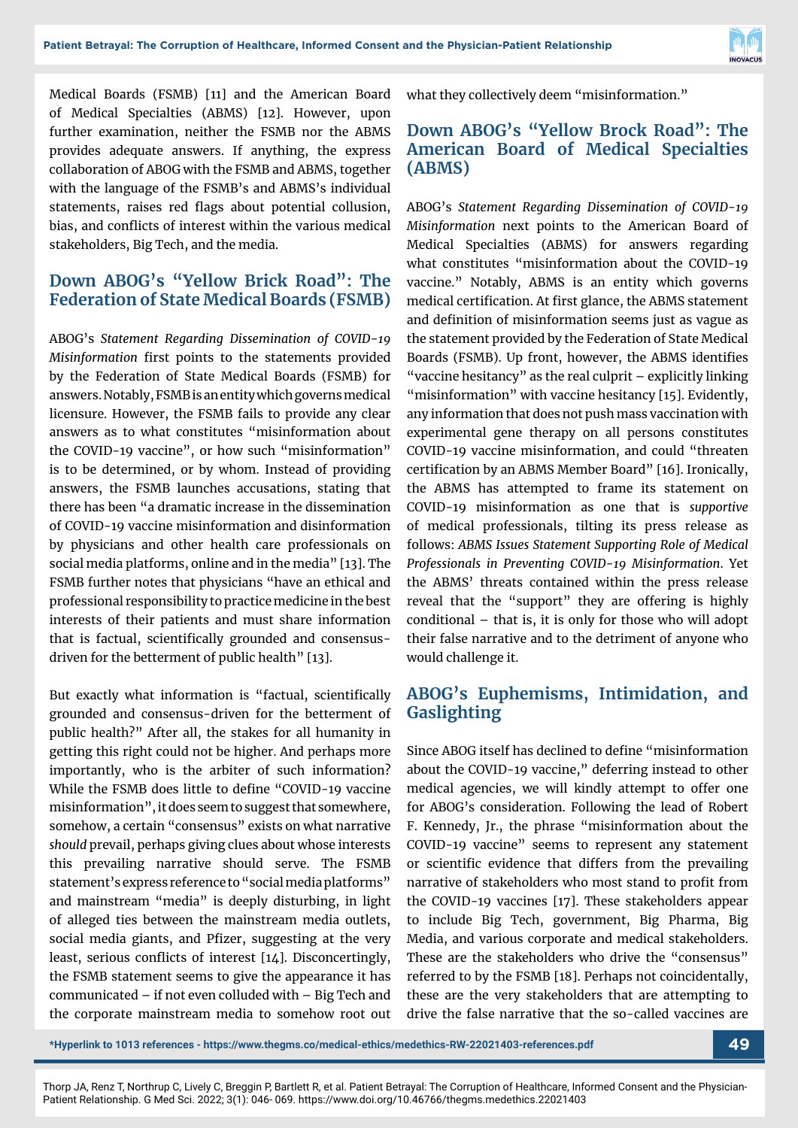

Medical Boards (FSMB) [11] and the American Board of Medical Specialties (ABMS) [12]. However, upon further examination, neither the FSMB nor the ABMS provides adequate answers. If anything, the express collaboration of ABOG with the FSMB and ABMS, together with the language of the FSMB's and ABMS's individual statements, raises red flags about potential collusion, bias, and conflicts of interest within the various medical stakeholders, Big Tech, and the media.

#### **Down ABOG's "Yellow Brick Road": The Federation of State Medical Boards (FSMB)**

ABOG's *Statement Regarding Dissemination of COVID-19 Misinformation* first points to the statements provided by the Federation of State Medical Boards (FSMB) for answers. Notably, FSMB is an entity which governs medical licensure. However, the FSMB fails to provide any clear answers as to what constitutes "misinformation about the COVID-19 vaccine", or how such "misinformation" is to be determined, or by whom. Instead of providing answers, the FSMB launches accusations, stating that there has been "a dramatic increase in the dissemination of COVID-19 vaccine misinformation and disinformation by physicians and other health care professionals on social media platforms, online and in the media" [13]. The FSMB further notes that physicians "have an ethical and professional responsibility to practice medicine in the best interests of their patients and must share information that is factual, scientifically grounded and consensusdriven for the betterment of public health" [13].

But exactly what information is "factual, scientifically grounded and consensus-driven for the betterment of public health?" After all, the stakes for all humanity in getting this right could not be higher. And perhaps more importantly, who is the arbiter of such information? While the FSMB does little to define "COVID-19 vaccine misinformation", it does seem to suggest that somewhere, somehow, a certain "consensus" exists on what narrative *should* prevail, perhaps giving clues about whose interests this prevailing narrative should serve. The FSMB statement's express reference to "social media platforms" and mainstream "media" is deeply disturbing, in light of alleged ties between the mainstream media outlets, social media giants, and Pfizer, suggesting at the very least, serious conflicts of interest [14]. Disconcertingly, the FSMB statement seems to give the appearance it has communicated – if not even colluded with – Big Tech and the corporate mainstream media to somehow root out what they collectively deem "misinformation."

#### **Down ABOG's "Yellow Brock Road": The American Board of Medical Specialties (ABMS)**

ABOG's *Statement Regarding Dissemination of COVID-19 Misinformation* next points to the American Board of Medical Specialties (ABMS) for answers regarding what constitutes "misinformation about the COVID-19 vaccine." Notably, ABMS is an entity which governs medical certification. At first glance, the ABMS statement and definition of misinformation seems just as vague as the statement provided by the Federation of State Medical Boards (FSMB). Up front, however, the ABMS identifies "vaccine hesitancy" as the real culprit  $-$  explicitly linking "misinformation" with vaccine hesitancy [15]. Evidently, any information that does not push mass vaccination with experimental gene therapy on all persons constitutes COVID-19 vaccine misinformation, and could "threaten certification by an ABMS Member Board" [16]. Ironically, the ABMS has attempted to frame its statement on COVID-19 misinformation as one that is *supportive* of medical professionals, tilting its press release as follows: *ABMS Issues Statement Supporting Role of Medical Professionals in Preventing COVID-19 Misinformation*. Yet the ABMS' threats contained within the press release reveal that the "support" they are offering is highly conditional – that is, it is only for those who will adopt their false narrative and to the detriment of anyone who would challenge it.

#### **ABOG's Euphemisms, Intimidation, and Gaslighting**

Since ABOG itself has declined to define "misinformation about the COVID-19 vaccine," deferring instead to other medical agencies, we will kindly attempt to offer one for ABOG's consideration. Following the lead of Robert F. Kennedy, Jr., the phrase "misinformation about the COVID-19 vaccine" seems to represent any statement or scientific evidence that differs from the prevailing narrative of stakeholders who most stand to profit from the COVID-19 vaccines [17]. These stakeholders appear to include Big Tech, government, Big Pharma, Big Media, and various corporate and medical stakeholders. These are the stakeholders who drive the "consensus" referred to by the FSMB [18]. Perhaps not coincidentally, these are the very stakeholders that are attempting to drive the false narrative that the so-called vaccines are

```
*Hyperlink to 1013 references - https://www.thegms.co/medical-ethics/medethics-RW-22021403-references.pdf 49
```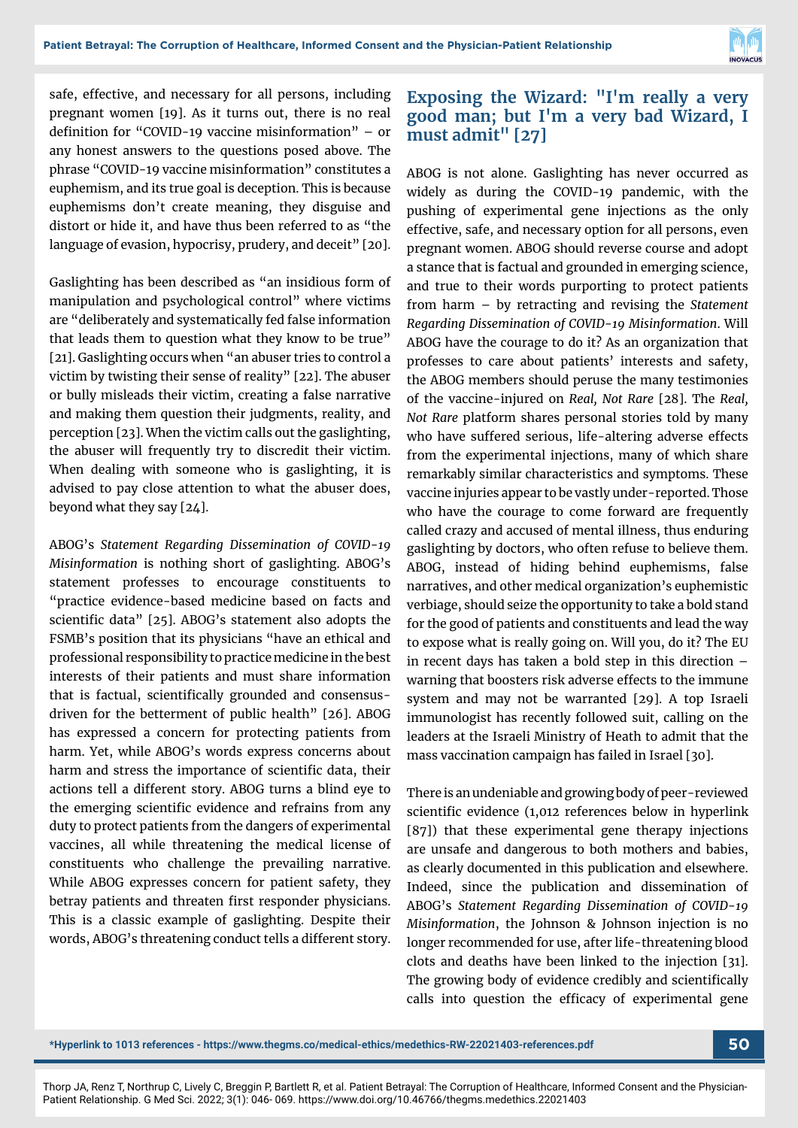

safe, effective, and necessary for all persons, including pregnant women [19]. As it turns out, there is no real definition for "COVID-19 vaccine misinformation" – or any honest answers to the questions posed above. The phrase "COVID-19 vaccine misinformation" constitutes a euphemism, and its true goal is deception. This is because euphemisms don't create meaning, they disguise and distort or hide it, and have thus been referred to as "the language of evasion, hypocrisy, prudery, and deceit" [20].

Gaslighting has been described as "an insidious form of manipulation and psychological control" where victims are "deliberately and systematically fed false information that leads them to question what they know to be true" [21]. Gaslighting occurs when "an abuser tries to control a victim by twisting their sense of reality" [22]. The abuser or bully misleads their victim, creating a false narrative and making them question their judgments, reality, and perception [23]. When the victim calls out the gaslighting, the abuser will frequently try to discredit their victim. When dealing with someone who is gaslighting, it is advised to pay close attention to what the abuser does, beyond what they say [24].

ABOG's *Statement Regarding Dissemination of COVID-19 Misinformation* is nothing short of gaslighting. ABOG's statement professes to encourage constituents to "practice evidence-based medicine based on facts and scientific data" [25]. ABOG's statement also adopts the FSMB's position that its physicians "have an ethical and professional responsibility to practice medicine in the best interests of their patients and must share information that is factual, scientifically grounded and consensusdriven for the betterment of public health" [26]. ABOG has expressed a concern for protecting patients from harm. Yet, while ABOG's words express concerns about harm and stress the importance of scientific data, their actions tell a different story. ABOG turns a blind eye to the emerging scientific evidence and refrains from any duty to protect patients from the dangers of experimental vaccines, all while threatening the medical license of constituents who challenge the prevailing narrative. While ABOG expresses concern for patient safety, they betray patients and threaten first responder physicians. This is a classic example of gaslighting. Despite their words, ABOG's threatening conduct tells a different story.

#### **Exposing the Wizard: "I'm really a very good man; but I'm a very bad Wizard, I must admit" [27]**

ABOG is not alone. Gaslighting has never occurred as widely as during the COVID-19 pandemic, with the pushing of experimental gene injections as the only effective, safe, and necessary option for all persons, even pregnant women. ABOG should reverse course and adopt a stance that is factual and grounded in emerging science, and true to their words purporting to protect patients from harm – by retracting and revising the *Statement Regarding Dissemination of COVID-19 Misinformation*. Will ABOG have the courage to do it? As an organization that professes to care about patients' interests and safety, the ABOG members should peruse the many testimonies of the vaccine-injured on *Real, Not Rare* [28]. The *Real, Not Rare* platform shares personal stories told by many who have suffered serious, life-altering adverse effects from the experimental injections, many of which share remarkably similar characteristics and symptoms. These vaccine injuries appear to be vastly under-reported. Those who have the courage to come forward are frequently called crazy and accused of mental illness, thus enduring gaslighting by doctors, who often refuse to believe them. ABOG, instead of hiding behind euphemisms, false narratives, and other medical organization's euphemistic verbiage, should seize the opportunity to take a bold stand for the good of patients and constituents and lead the way to expose what is really going on. Will you, do it? The EU in recent days has taken a bold step in this direction – warning that boosters risk adverse effects to the immune system and may not be warranted [29]. A top Israeli immunologist has recently followed suit, calling on the leaders at the Israeli Ministry of Heath to admit that the mass vaccination campaign has failed in Israel [30].

There is an undeniable and growing body of peer-reviewed scientific evidence (1,012 references below in hyperlink [87]) that these experimental gene therapy injections are unsafe and dangerous to both mothers and babies, as clearly documented in this publication and elsewhere. Indeed, since the publication and dissemination of ABOG's *Statement Regarding Dissemination of COVID-19 Misinformation*, the Johnson & Johnson injection is no longer recommended for use, after life-threatening blood clots and deaths have been linked to the injection [31]. The growing body of evidence credibly and scientifically calls into question the efficacy of experimental gene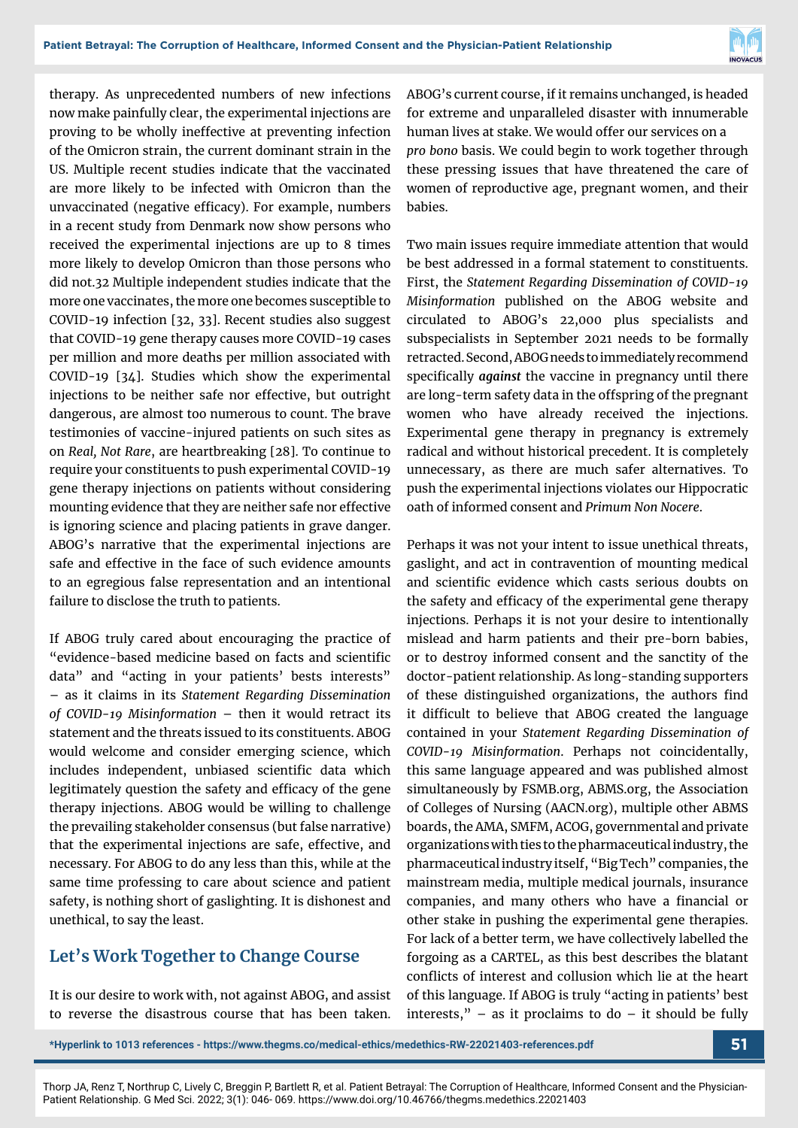

therapy. As unprecedented numbers of new infections now make painfully clear, the experimental injections are proving to be wholly ineffective at preventing infection of the Omicron strain, the current dominant strain in the US. Multiple recent studies indicate that the vaccinated are more likely to be infected with Omicron than the unvaccinated (negative efficacy). For example, numbers in a recent study from Denmark now show persons who received the experimental injections are up to 8 times more likely to develop Omicron than those persons who did not.32 Multiple independent studies indicate that the more one vaccinates, the more one becomes susceptible to COVID-19 infection [32, 33]. Recent studies also suggest that COVID-19 gene therapy causes more COVID-19 cases per million and more deaths per million associated with COVID-19 [34]. Studies which show the experimental injections to be neither safe nor effective, but outright dangerous, are almost too numerous to count. The brave testimonies of vaccine-injured patients on such sites as on *Real, Not Rare*, are heartbreaking [28]. To continue to require your constituents to push experimental COVID-19 gene therapy injections on patients without considering mounting evidence that they are neither safe nor effective is ignoring science and placing patients in grave danger. ABOG's narrative that the experimental injections are safe and effective in the face of such evidence amounts to an egregious false representation and an intentional failure to disclose the truth to patients.

If ABOG truly cared about encouraging the practice of "evidence-based medicine based on facts and scientific data" and "acting in your patients' bests interests" – as it claims in its *Statement Regarding Dissemination of COVID-19 Misinformation* – then it would retract its statement and the threats issued to its constituents. ABOG would welcome and consider emerging science, which includes independent, unbiased scientific data which legitimately question the safety and efficacy of the gene therapy injections. ABOG would be willing to challenge the prevailing stakeholder consensus (but false narrative) that the experimental injections are safe, effective, and necessary. For ABOG to do any less than this, while at the same time professing to care about science and patient safety, is nothing short of gaslighting. It is dishonest and unethical, to say the least.

## **Let's Work Together to Change Course**

It is our desire to work with, not against ABOG, and assist to reverse the disastrous course that has been taken.

ABOG's current course, if it remains unchanged, is headed for extreme and unparalleled disaster with innumerable human lives at stake. We would offer our services on a *pro bono* basis. We could begin to work together through these pressing issues that have threatened the care of women of reproductive age, pregnant women, and their babies.

Two main issues require immediate attention that would be best addressed in a formal statement to constituents. First, the *Statement Regarding Dissemination of COVID-19 Misinformation* published on the ABOG website and circulated to ABOG's 22,000 plus specialists and subspecialists in September 2021 needs to be formally retracted. Second, ABOG needs to immediately recommend specifically *against* the vaccine in pregnancy until there are long-term safety data in the offspring of the pregnant women who have already received the injections. Experimental gene therapy in pregnancy is extremely radical and without historical precedent. It is completely unnecessary, as there are much safer alternatives. To push the experimental injections violates our Hippocratic oath of informed consent and *Primum Non Nocere*.

Perhaps it was not your intent to issue unethical threats, gaslight, and act in contravention of mounting medical and scientific evidence which casts serious doubts on the safety and efficacy of the experimental gene therapy injections. Perhaps it is not your desire to intentionally mislead and harm patients and their pre-born babies, or to destroy informed consent and the sanctity of the doctor-patient relationship. As long-standing supporters of these distinguished organizations, the authors find it difficult to believe that ABOG created the language contained in your *Statement Regarding Dissemination of COVID-19 Misinformation*. Perhaps not coincidentally, this same language appeared and was published almost simultaneously by FSMB.org, ABMS.org, the Association of Colleges of Nursing (AACN.org), multiple other ABMS boards, the AMA, SMFM, ACOG, governmental and private organizations with ties to the pharmaceutical industry, the pharmaceutical industry itself, "Big Tech" companies, the mainstream media, multiple medical journals, insurance companies, and many others who have a financial or other stake in pushing the experimental gene therapies. For lack of a better term, we have collectively labelled the forgoing as a CARTEL, as this best describes the blatant conflicts of interest and collusion which lie at the heart of this language. If ABOG is truly "acting in patients' best interests,"  $-$  as it proclaims to do  $-$  it should be fully

**\*Hyperlink to 1013 references - https://www.thegms.co/medical-ethics/medethics-RW-22021403-references.pdf 51**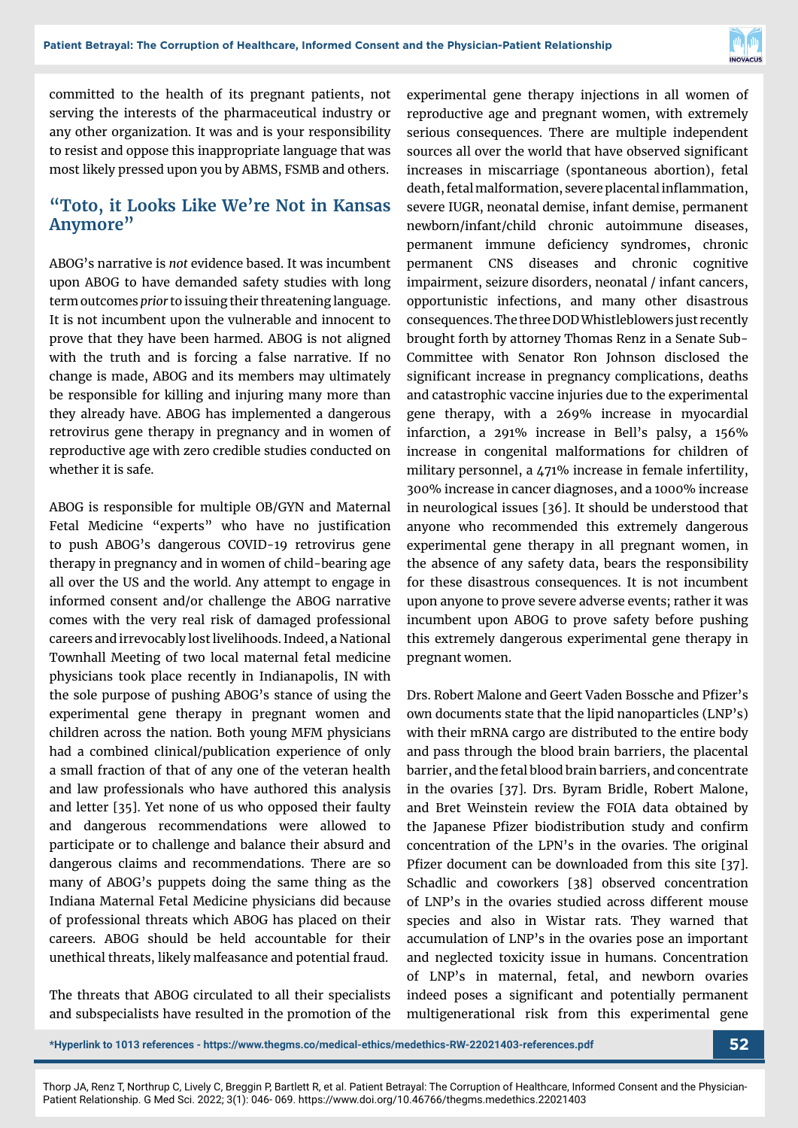

committed to the health of its pregnant patients, not serving the interests of the pharmaceutical industry or any other organization. It was and is your responsibility to resist and oppose this inappropriate language that was most likely pressed upon you by ABMS, FSMB and others.

#### **"Toto, it Looks Like We're Not in Kansas Anymore"**

ABOG's narrative is *not* evidence based. It was incumbent upon ABOG to have demanded safety studies with long term outcomes *prior* to issuing their threatening language. It is not incumbent upon the vulnerable and innocent to prove that they have been harmed. ABOG is not aligned with the truth and is forcing a false narrative. If no change is made, ABOG and its members may ultimately be responsible for killing and injuring many more than they already have. ABOG has implemented a dangerous retrovirus gene therapy in pregnancy and in women of reproductive age with zero credible studies conducted on whether it is safe.

ABOG is responsible for multiple OB/GYN and Maternal Fetal Medicine "experts" who have no justification to push ABOG's dangerous COVID-19 retrovirus gene therapy in pregnancy and in women of child-bearing age all over the US and the world. Any attempt to engage in informed consent and/or challenge the ABOG narrative comes with the very real risk of damaged professional careers and irrevocably lost livelihoods. Indeed, a National Townhall Meeting of two local maternal fetal medicine physicians took place recently in Indianapolis, IN with the sole purpose of pushing ABOG's stance of using the experimental gene therapy in pregnant women and children across the nation. Both young MFM physicians had a combined clinical/publication experience of only a small fraction of that of any one of the veteran health and law professionals who have authored this analysis and letter [35]. Yet none of us who opposed their faulty and dangerous recommendations were allowed to participate or to challenge and balance their absurd and dangerous claims and recommendations. There are so many of ABOG's puppets doing the same thing as the Indiana Maternal Fetal Medicine physicians did because of professional threats which ABOG has placed on their careers. ABOG should be held accountable for their unethical threats, likely malfeasance and potential fraud.

The threats that ABOG circulated to all their specialists and subspecialists have resulted in the promotion of the experimental gene therapy injections in all women of reproductive age and pregnant women, with extremely serious consequences. There are multiple independent sources all over the world that have observed significant increases in miscarriage (spontaneous abortion), fetal death, fetal malformation, severe placental inflammation, severe IUGR, neonatal demise, infant demise, permanent newborn/infant/child chronic autoimmune diseases, permanent immune deficiency syndromes, chronic permanent CNS diseases and chronic cognitive impairment, seizure disorders, neonatal / infant cancers, opportunistic infections, and many other disastrous consequences. The three DOD Whistleblowers just recently brought forth by attorney Thomas Renz in a Senate Sub-Committee with Senator Ron Johnson disclosed the significant increase in pregnancy complications, deaths and catastrophic vaccine injuries due to the experimental gene therapy, with a 269% increase in myocardial infarction, a 291% increase in Bell's palsy, a 156% increase in congenital malformations for children of military personnel, a 471% increase in female infertility, 300% increase in cancer diagnoses, and a 1000% increase in neurological issues [36]. It should be understood that anyone who recommended this extremely dangerous experimental gene therapy in all pregnant women, in the absence of any safety data, bears the responsibility for these disastrous consequences. It is not incumbent upon anyone to prove severe adverse events; rather it was incumbent upon ABOG to prove safety before pushing this extremely dangerous experimental gene therapy in pregnant women.

Drs. Robert Malone and Geert Vaden Bossche and Pfizer's own documents state that the lipid nanoparticles (LNP's) with their mRNA cargo are distributed to the entire body and pass through the blood brain barriers, the placental barrier, and the fetal blood brain barriers, and concentrate in the ovaries [37]. Drs. Byram Bridle, Robert Malone, and Bret Weinstein review the FOIA data obtained by the Japanese Pfizer biodistribution study and confirm concentration of the LPN's in the ovaries. The original Pfizer document can be downloaded from this site [37]. Schadlic and coworkers [38] observed concentration of LNP's in the ovaries studied across different mouse species and also in Wistar rats. They warned that accumulation of LNP's in the ovaries pose an important and neglected toxicity issue in humans. Concentration of LNP's in maternal, fetal, and newborn ovaries indeed poses a significant and potentially permanent multigenerational risk from this experimental gene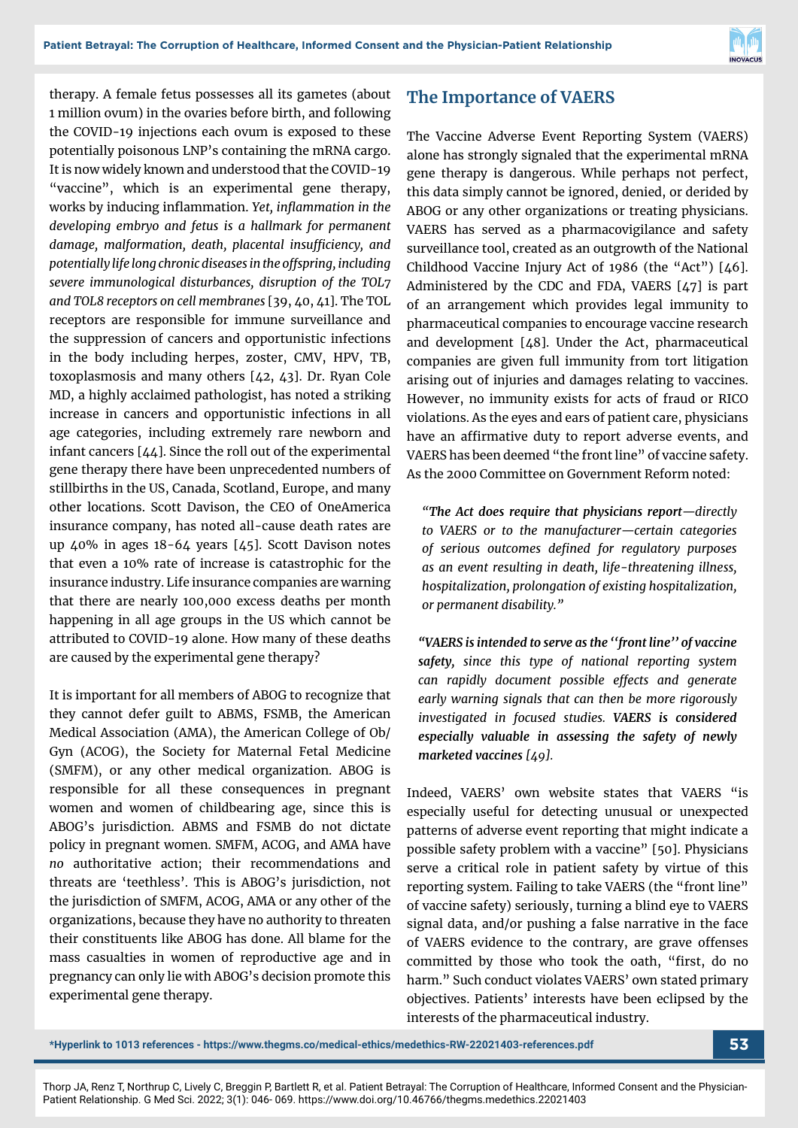

therapy. A female fetus possesses all its gametes (about 1 million ovum) in the ovaries before birth, and following the COVID-19 injections each ovum is exposed to these potentially poisonous LNP's containing the mRNA cargo. It is now widely known and understood that the COVID-19 "vaccine", which is an experimental gene therapy, works by inducing inflammation. *Yet, inflammation in the developing embryo and fetus is a hallmark for permanent damage, malformation, death, placental insufficiency, and potentially life long chronic diseases in the offspring, including severe immunological disturbances, disruption of the TOL7 and TOL8 receptors on cell membranes* [39, 40, 41]. The TOL receptors are responsible for immune surveillance and the suppression of cancers and opportunistic infections in the body including herpes, zoster, CMV, HPV, TB, toxoplasmosis and many others [42, 43]. Dr. Ryan Cole MD, a highly acclaimed pathologist, has noted a striking increase in cancers and opportunistic infections in all age categories, including extremely rare newborn and infant cancers [44]. Since the roll out of the experimental gene therapy there have been unprecedented numbers of stillbirths in the US, Canada, Scotland, Europe, and many other locations. Scott Davison, the CEO of OneAmerica insurance company, has noted all-cause death rates are up 40% in ages 18-64 years [45]. Scott Davison notes that even a 10% rate of increase is catastrophic for the insurance industry. Life insurance companies are warning that there are nearly 100,000 excess deaths per month happening in all age groups in the US which cannot be attributed to COVID-19 alone. How many of these deaths are caused by the experimental gene therapy?

It is important for all members of ABOG to recognize that they cannot defer guilt to ABMS, FSMB, the American Medical Association (AMA), the American College of Ob/ Gyn (ACOG), the Society for Maternal Fetal Medicine (SMFM), or any other medical organization. ABOG is responsible for all these consequences in pregnant women and women of childbearing age, since this is ABOG's jurisdiction. ABMS and FSMB do not dictate policy in pregnant women. SMFM, ACOG, and AMA have *no* authoritative action; their recommendations and threats are 'teethless'. This is ABOG's jurisdiction, not the jurisdiction of SMFM, ACOG, AMA or any other of the organizations, because they have no authority to threaten their constituents like ABOG has done. All blame for the mass casualties in women of reproductive age and in pregnancy can only lie with ABOG's decision promote this experimental gene therapy.

#### **The Importance of VAERS**

The Vaccine Adverse Event Reporting System (VAERS) alone has strongly signaled that the experimental mRNA gene therapy is dangerous. While perhaps not perfect, this data simply cannot be ignored, denied, or derided by ABOG or any other organizations or treating physicians. VAERS has served as a pharmacovigilance and safety surveillance tool, created as an outgrowth of the National Childhood Vaccine Injury Act of 1986 (the "Act") [46]. Administered by the CDC and FDA, VAERS [47] is part of an arrangement which provides legal immunity to pharmaceutical companies to encourage vaccine research and development [48]. Under the Act, pharmaceutical companies are given full immunity from tort litigation arising out of injuries and damages relating to vaccines. However, no immunity exists for acts of fraud or RICO violations. As the eyes and ears of patient care, physicians have an affirmative duty to report adverse events, and VAERS has been deemed "the front line" of vaccine safety. As the 2000 Committee on Government Reform noted:

*"The Act does require that physicians report—directly to VAERS or to the manufacturer—certain categories of serious outcomes defined for regulatory purposes as an event resulting in death, life-threatening illness, hospitalization, prolongation of existing hospitalization, or permanent disability."*

*"VAERS is intended to serve as the ''front line'' of vaccine safety, since this type of national reporting system can rapidly document possible effects and generate early warning signals that can then be more rigorously investigated in focused studies. VAERS is considered especially valuable in assessing the safety of newly marketed vaccines [49].*

Indeed, VAERS' own website states that VAERS "is especially useful for detecting unusual or unexpected patterns of adverse event reporting that might indicate a possible safety problem with a vaccine" [50]. Physicians serve a critical role in patient safety by virtue of this reporting system. Failing to take VAERS (the "front line" of vaccine safety) seriously, turning a blind eye to VAERS signal data, and/or pushing a false narrative in the face of VAERS evidence to the contrary, are grave offenses committed by those who took the oath, "first, do no harm." Such conduct violates VAERS' own stated primary objectives. Patients' interests have been eclipsed by the interests of the pharmaceutical industry.

**\*Hyperlink to 1013 references - https://www.thegms.co/medical-ethics/medethics-RW-22021403-references.pdf 53**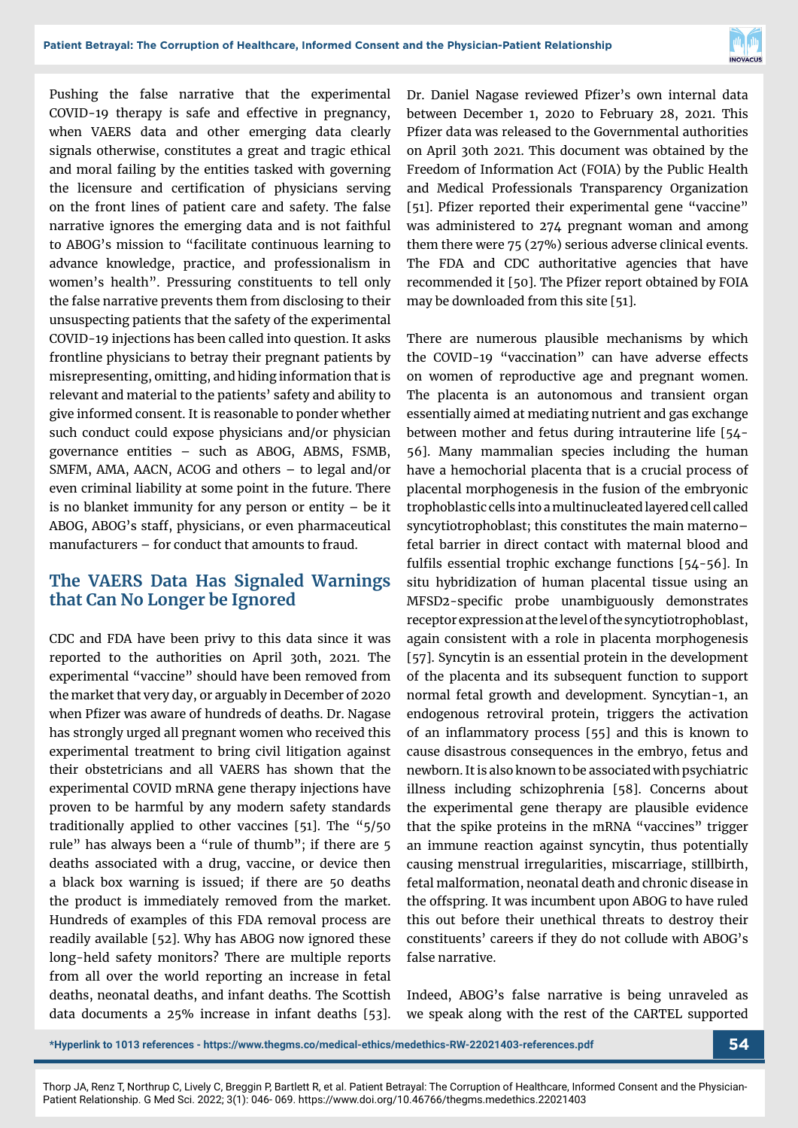

Pushing the false narrative that the experimental COVID-19 therapy is safe and effective in pregnancy, when VAERS data and other emerging data clearly signals otherwise, constitutes a great and tragic ethical and moral failing by the entities tasked with governing the licensure and certification of physicians serving on the front lines of patient care and safety. The false narrative ignores the emerging data and is not faithful to ABOG's mission to "facilitate continuous learning to advance knowledge, practice, and professionalism in women's health". Pressuring constituents to tell only the false narrative prevents them from disclosing to their unsuspecting patients that the safety of the experimental COVID-19 injections has been called into question. It asks frontline physicians to betray their pregnant patients by misrepresenting, omitting, and hiding information that is relevant and material to the patients' safety and ability to give informed consent. It is reasonable to ponder whether such conduct could expose physicians and/or physician governance entities – such as ABOG, ABMS, FSMB, SMFM, AMA, AACN, ACOG and others – to legal and/or even criminal liability at some point in the future. There is no blanket immunity for any person or entity  $-$  be it ABOG, ABOG's staff, physicians, or even pharmaceutical manufacturers – for conduct that amounts to fraud.

#### **The VAERS Data Has Signaled Warnings that Can No Longer be Ignored**

CDC and FDA have been privy to this data since it was reported to the authorities on April 30th, 2021. The experimental "vaccine" should have been removed from the market that very day, or arguably in December of 2020 when Pfizer was aware of hundreds of deaths. Dr. Nagase has strongly urged all pregnant women who received this experimental treatment to bring civil litigation against their obstetricians and all VAERS has shown that the experimental COVID mRNA gene therapy injections have proven to be harmful by any modern safety standards traditionally applied to other vaccines [51]. The "5/50 rule" has always been a "rule of thumb"; if there are 5 deaths associated with a drug, vaccine, or device then a black box warning is issued; if there are 50 deaths the product is immediately removed from the market. Hundreds of examples of this FDA removal process are readily available [52]. Why has ABOG now ignored these long-held safety monitors? There are multiple reports from all over the world reporting an increase in fetal deaths, neonatal deaths, and infant deaths. The Scottish data documents a 25% increase in infant deaths [53]. Dr. Daniel Nagase reviewed Pfizer's own internal data between December 1, 2020 to February 28, 2021. This Pfizer data was released to the Governmental authorities on April 30th 2021. This document was obtained by the Freedom of Information Act (FOIA) by the Public Health and Medical Professionals Transparency Organization [51]. Pfizer reported their experimental gene "vaccine" was administered to 274 pregnant woman and among them there were 75 (27%) serious adverse clinical events. The FDA and CDC authoritative agencies that have recommended it [50]. The Pfizer report obtained by FOIA may be downloaded from this site [51].

There are numerous plausible mechanisms by which the COVID-19 "vaccination" can have adverse effects on women of reproductive age and pregnant women. The placenta is an autonomous and transient organ essentially aimed at mediating nutrient and gas exchange between mother and fetus during intrauterine life [54- 56]. Many mammalian species including the human have a hemochorial placenta that is a crucial process of placental morphogenesis in the fusion of the embryonic trophoblastic cells into a multinucleated layered cell called syncytiotrophoblast; this constitutes the main materno– fetal barrier in direct contact with maternal blood and fulfils essential trophic exchange functions [54-56]. In situ hybridization of human placental tissue using an MFSD2-specific probe unambiguously demonstrates receptor expression at the level of the syncytiotrophoblast, again consistent with a role in placenta morphogenesis [57]. Syncytin is an essential protein in the development of the placenta and its subsequent function to support normal fetal growth and development. Syncytian-1, an endogenous retroviral protein, triggers the activation of an inflammatory process [55] and this is known to cause disastrous consequences in the embryo, fetus and newborn. It is also known to be associated with psychiatric illness including schizophrenia [58]. Concerns about the experimental gene therapy are plausible evidence that the spike proteins in the mRNA "vaccines" trigger an immune reaction against syncytin, thus potentially causing menstrual irregularities, miscarriage, stillbirth, fetal malformation, neonatal death and chronic disease in the offspring. It was incumbent upon ABOG to have ruled this out before their unethical threats to destroy their constituents' careers if they do not collude with ABOG's false narrative.

Indeed, ABOG's false narrative is being unraveled as we speak along with the rest of the CARTEL supported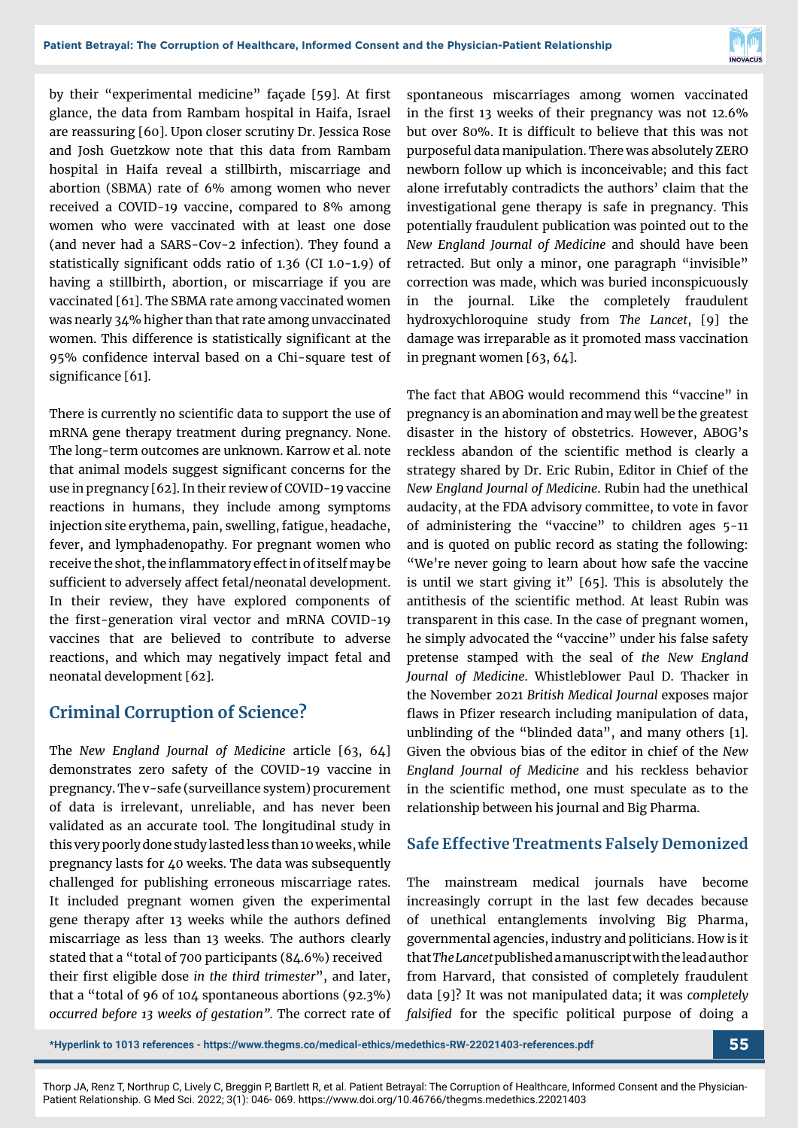

by their "experimental medicine" façade [59]. At first glance, the data from Rambam hospital in Haifa, Israel are reassuring [60]. Upon closer scrutiny Dr. Jessica Rose and Josh Guetzkow note that this data from Rambam hospital in Haifa reveal a stillbirth, miscarriage and abortion (SBMA) rate of 6% among women who never received a COVID-19 vaccine, compared to 8% among women who were vaccinated with at least one dose (and never had a SARS-Cov-2 infection). They found a statistically significant odds ratio of 1.36 (CI 1.0-1.9) of having a stillbirth, abortion, or miscarriage if you are vaccinated [61]. The SBMA rate among vaccinated women was nearly 34% higher than that rate among unvaccinated women. This difference is statistically significant at the 95% confidence interval based on a Chi-square test of significance [61].

There is currently no scientific data to support the use of mRNA gene therapy treatment during pregnancy. None. The long-term outcomes are unknown. Karrow et al. note that animal models suggest significant concerns for the use in pregnancy [62]. In their review of COVID-19 vaccine reactions in humans, they include among symptoms injection site erythema, pain, swelling, fatigue, headache, fever, and lymphadenopathy. For pregnant women who receive the shot, the inflammatory effect in of itself may be sufficient to adversely affect fetal/neonatal development. In their review, they have explored components of the first-generation viral vector and mRNA COVID-19 vaccines that are believed to contribute to adverse reactions, and which may negatively impact fetal and neonatal development [62].

## **Criminal Corruption of Science?**

The *New England Journal of Medicine* article [63, 64] demonstrates zero safety of the COVID-19 vaccine in pregnancy. The v-safe (surveillance system) procurement of data is irrelevant, unreliable, and has never been validated as an accurate tool. The longitudinal study in this very poorly done study lasted less than 10 weeks, while pregnancy lasts for 40 weeks. The data was subsequently challenged for publishing erroneous miscarriage rates. It included pregnant women given the experimental gene therapy after 13 weeks while the authors defined miscarriage as less than 13 weeks. The authors clearly stated that a "total of 700 participants (84.6%) received their first eligible dose *in the third trimester*", and later, that a "total of 96 of 104 spontaneous abortions (92.3%) *occurred before 13 weeks of gestation".* The correct rate of spontaneous miscarriages among women vaccinated in the first 13 weeks of their pregnancy was not 12.6% but over 80%. It is difficult to believe that this was not purposeful data manipulation. There was absolutely ZERO newborn follow up which is inconceivable; and this fact alone irrefutably contradicts the authors' claim that the investigational gene therapy is safe in pregnancy. This potentially fraudulent publication was pointed out to the *New England Journal of Medicine* and should have been retracted. But only a minor, one paragraph "invisible" correction was made, which was buried inconspicuously in the journal. Like the completely fraudulent hydroxychloroquine study from *The Lancet*, [9] the damage was irreparable as it promoted mass vaccination in pregnant women [63, 64].

The fact that ABOG would recommend this "vaccine" in pregnancy is an abomination and may well be the greatest disaster in the history of obstetrics. However, ABOG's reckless abandon of the scientific method is clearly a strategy shared by Dr. Eric Rubin, Editor in Chief of the *New England Journal of Medicine*. Rubin had the unethical audacity, at the FDA advisory committee, to vote in favor of administering the "vaccine" to children ages 5-11 and is quoted on public record as stating the following: "We're never going to learn about how safe the vaccine is until we start giving it" [65]. This is absolutely the antithesis of the scientific method. At least Rubin was transparent in this case. In the case of pregnant women, he simply advocated the "vaccine" under his false safety pretense stamped with the seal of *the New England Journal of Medicine*. Whistleblower Paul D. Thacker in the November 2021 *British Medical Journal* exposes major flaws in Pfizer research including manipulation of data, unblinding of the "blinded data", and many others [1]. Given the obvious bias of the editor in chief of the *New England Journal of Medicine* and his reckless behavior in the scientific method, one must speculate as to the relationship between his journal and Big Pharma.

#### **Safe Effective Treatments Falsely Demonized**

The mainstream medical journals have become increasingly corrupt in the last few decades because of unethical entanglements involving Big Pharma, governmental agencies, industry and politicians. How is it that *The Lancet* published a manuscript with the lead author from Harvard, that consisted of completely fraudulent data [9]? It was not manipulated data; it was *completely falsified* for the specific political purpose of doing a

**\*Hyperlink to 1013 references - https://www.thegms.co/medical-ethics/medethics-RW-22021403-references.pdf 55**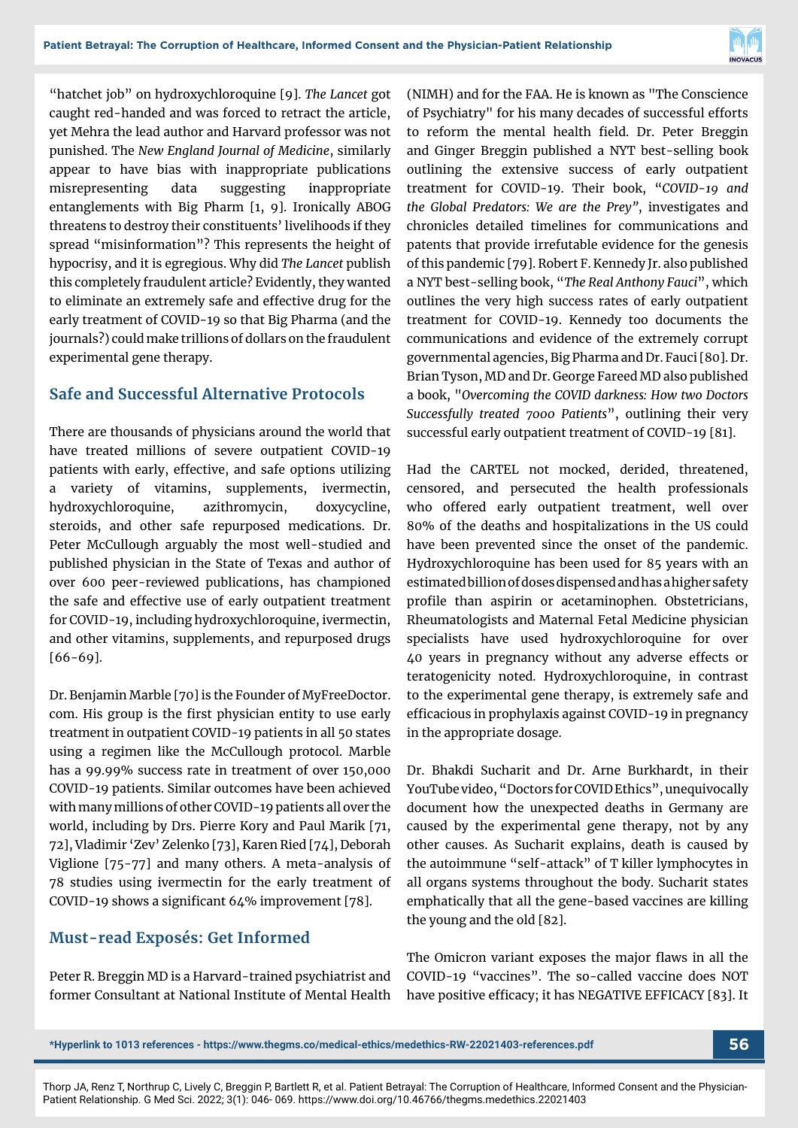

"hatchet job" on hydroxychloroquine [9]. *The Lancet* got caught red-handed and was forced to retract the article, yet Mehra the lead author and Harvard professor was not punished. The *New England Journal of Medicine*, similarly appear to have bias with inappropriate publications misrepresenting data suggesting inappropriate entanglements with Big Pharm [1, 9]. Ironically ABOG threatens to destroy their constituents' livelihoods if they spread "misinformation"? This represents the height of hypocrisy, and it is egregious. Why did *The Lancet* publish this completely fraudulent article? Evidently, they wanted to eliminate an extremely safe and effective drug for the early treatment of COVID-19 so that Big Pharma (and the journals?) could make trillions of dollars on the fraudulent experimental gene therapy.

#### **Safe and Successful Alternative Protocols**

There are thousands of physicians around the world that have treated millions of severe outpatient COVID-19 patients with early, effective, and safe options utilizing a variety of vitamins, supplements, ivermectin, hydroxychloroquine, azithromycin, doxycycline, steroids, and other safe repurposed medications. Dr. Peter McCullough arguably the most well-studied and published physician in the State of Texas and author of over 600 peer-reviewed publications, has championed the safe and effective use of early outpatient treatment for COVID-19, including hydroxychloroquine, ivermectin, and other vitamins, supplements, and repurposed drugs [66-69].

Dr. Benjamin Marble [70] is the Founder of MyFreeDoctor. com. His group is the first physician entity to use early treatment in outpatient COVID-19 patients in all 50 states using a regimen like the McCullough protocol. Marble has a 99.99% success rate in treatment of over 150,000 COVID-19 patients. Similar outcomes have been achieved with many millions of other COVID-19 patients all over the world, including by Drs. Pierre Kory and Paul Marik [71, 72], Vladimir 'Zev' Zelenko [73], Karen Ried [74], Deborah Viglione [75-77] and many others. A meta-analysis of 78 studies using ivermectin for the early treatment of COVID-19 shows a significant 64% improvement [78].

#### **Must-read Exposés: Get Informed**

Peter R. Breggin MD is a Harvard-trained psychiatrist and former Consultant at National Institute of Mental Health (NIMH) and for the FAA. He is known as "The Conscience of Psychiatry" for his many decades of successful efforts to reform the mental health field. Dr. Peter Breggin and Ginger Breggin published a NYT best-selling book outlining the extensive success of early outpatient treatment for COVID-19. Their book, "*COVID-19 and the Global Predators: We are the Prey"*, investigates and chronicles detailed timelines for communications and patents that provide irrefutable evidence for the genesis of this pandemic [79]. Robert F. Kennedy Jr. also published a NYT best-selling book, "*The Real Anthony Fauci*", which outlines the very high success rates of early outpatient treatment for COVID-19. Kennedy too documents the communications and evidence of the extremely corrupt governmental agencies, Big Pharma and Dr. Fauci [80]. Dr. Brian Tyson, MD and Dr. George Fareed MD also published a book, "*Overcoming the COVID darkness: How two Doctors Successfully treated 7000 Patients*", outlining their very successful early outpatient treatment of COVID-19 [81].

Had the CARTEL not mocked, derided, threatened, censored, and persecuted the health professionals who offered early outpatient treatment, well over 80% of the deaths and hospitalizations in the US could have been prevented since the onset of the pandemic. Hydroxychloroquine has been used for 85 years with an estimated billion of doses dispensed and has a higher safety profile than aspirin or acetaminophen. Obstetricians, Rheumatologists and Maternal Fetal Medicine physician specialists have used hydroxychloroquine for over 40 years in pregnancy without any adverse effects or teratogenicity noted. Hydroxychloroquine, in contrast to the experimental gene therapy, is extremely safe and efficacious in prophylaxis against COVID-19 in pregnancy in the appropriate dosage.

Dr. Bhakdi Sucharit and Dr. Arne Burkhardt, in their YouTube video, "Doctors for COVID Ethics", unequivocally document how the unexpected deaths in Germany are caused by the experimental gene therapy, not by any other causes. As Sucharit explains, death is caused by the autoimmune "self-attack" of T killer lymphocytes in all organs systems throughout the body. Sucharit states emphatically that all the gene-based vaccines are killing the young and the old [82].

The Omicron variant exposes the major flaws in all the COVID-19 "vaccines". The so-called vaccine does NOT have positive efficacy; it has NEGATIVE EFFICACY [83]. It

**\*Hyperlink to 1013 references - https://www.thegms.co/medical-ethics/medethics-RW-22021403-references.pdf 56**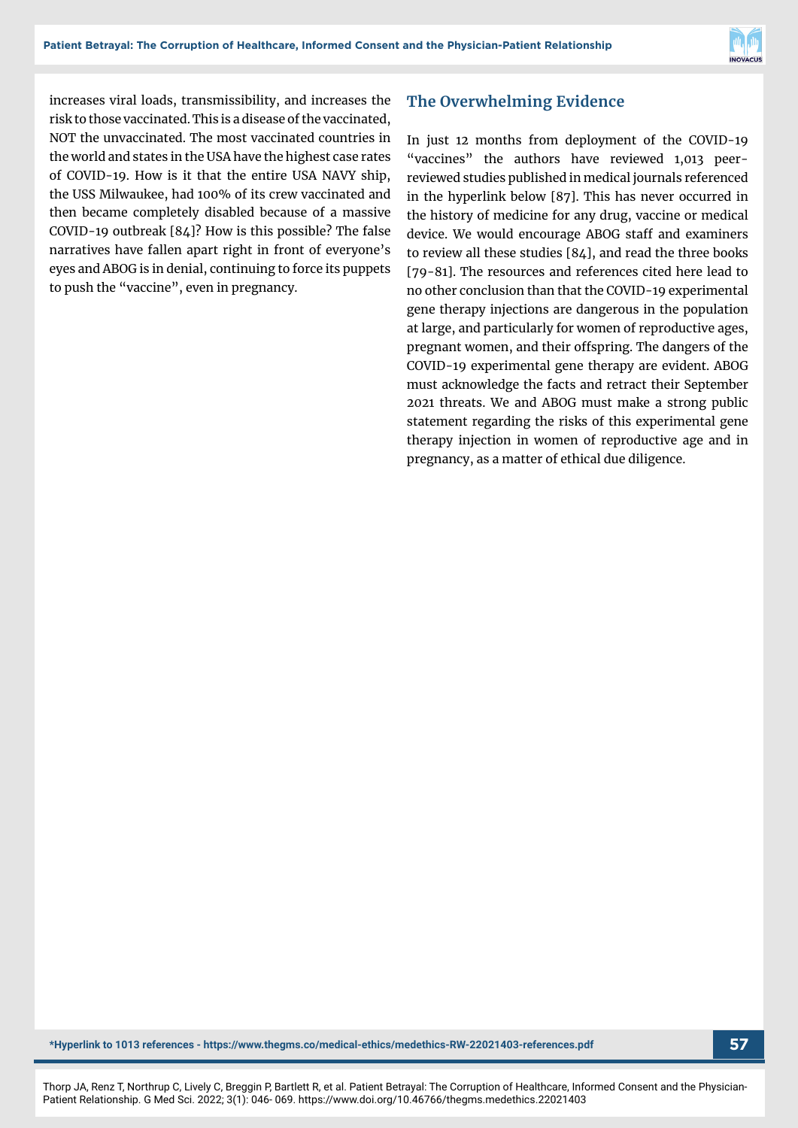

increases viral loads, transmissibility, and increases the risk to those vaccinated. This is a disease of the vaccinated, NOT the unvaccinated. The most vaccinated countries in the world and states in the USA have the highest case rates of COVID-19. How is it that the entire USA NAVY ship, the USS Milwaukee, had 100% of its crew vaccinated and then became completely disabled because of a massive COVID-19 outbreak [84]? How is this possible? The false narratives have fallen apart right in front of everyone's eyes and ABOG is in denial, continuing to force its puppets to push the "vaccine", even in pregnancy.

#### **The Overwhelming Evidence**

In just 12 months from deployment of the COVID-19 "vaccines" the authors have reviewed 1,013 peerreviewed studies published in medical journals referenced in the hyperlink below [87]. This has never occurred in the history of medicine for any drug, vaccine or medical device. We would encourage ABOG staff and examiners to review all these studies [84], and read the three books [79-81]. The resources and references cited here lead to no other conclusion than that the COVID-19 experimental gene therapy injections are dangerous in the population at large, and particularly for women of reproductive ages, pregnant women, and their offspring. The dangers of the COVID-19 experimental gene therapy are evident. ABOG must acknowledge the facts and retract their September 2021 threats. We and ABOG must make a strong public statement regarding the risks of this experimental gene therapy injection in women of reproductive age and in pregnancy, as a matter of ethical due diligence.

**\*Hyperlink to 1013 references - https://www.thegms.co/medical-ethics/medethics-RW-22021403-references.pdf 57**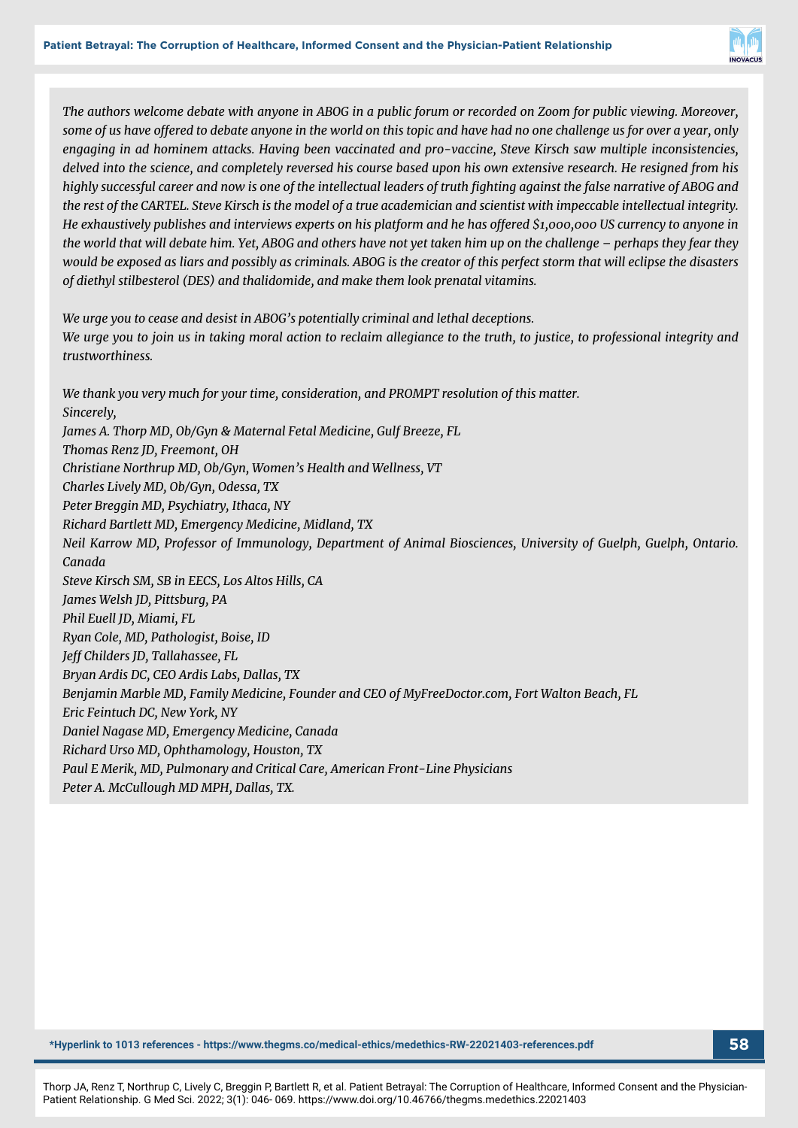

*The authors welcome debate with anyone in ABOG in a public forum or recorded on Zoom for public viewing. Moreover, some of us have offered to debate anyone in the world on this topic and have had no one challenge us for over a year, only engaging in ad hominem attacks. Having been vaccinated and pro-vaccine, Steve Kirsch saw multiple inconsistencies, delved into the science, and completely reversed his course based upon his own extensive research. He resigned from his highly successful career and now is one of the intellectual leaders of truth fighting against the false narrative of ABOG and the rest of the CARTEL. Steve Kirsch is the model of a true academician and scientist with impeccable intellectual integrity. He exhaustively publishes and interviews experts on his platform and he has offered \$1,000,000 US currency to anyone in the world that will debate him. Yet, ABOG and others have not yet taken him up on the challenge – perhaps they fear they would be exposed as liars and possibly as criminals. ABOG is the creator of this perfect storm that will eclipse the disasters of diethyl stilbesterol (DES) and thalidomide, and make them look prenatal vitamins.*

*We urge you to cease and desist in ABOG's potentially criminal and lethal deceptions. We urge you to join us in taking moral action to reclaim allegiance to the truth, to justice, to professional integrity and trustworthiness.*

*We thank you very much for your time, consideration, and PROMPT resolution of this matter. Sincerely, James A. Thorp MD, Ob/Gyn & Maternal Fetal Medicine, Gulf Breeze, FL Thomas Renz JD, Freemont, OH Christiane Northrup MD, Ob/Gyn, Women's Health and Wellness, VT Charles Lively MD, Ob/Gyn, Odessa, TX Peter Breggin MD, Psychiatry, Ithaca, NY Richard Bartlett MD, Emergency Medicine, Midland, TX Neil Karrow MD, Professor of Immunology, Department of Animal Biosciences, University of Guelph, Guelph, Ontario. Canada Steve Kirsch SM, SB in EECS, Los Altos Hills, CA James Welsh JD, Pittsburg, PA Phil Euell JD, Miami, FL Ryan Cole, MD, Pathologist, Boise, ID Jeff Childers JD, Tallahassee, FL Bryan Ardis DC, CEO Ardis Labs, Dallas, TX Benjamin Marble MD, Family Medicine, Founder and CEO of MyFreeDoctor.com, Fort Walton Beach, FL Eric Feintuch DC, New York, NY Daniel Nagase MD, Emergency Medicine, Canada Richard Urso MD, Ophthamology, Houston, TX Paul E Merik, MD, Pulmonary and Critical Care, American Front-Line Physicians Peter A. McCullough MD MPH, Dallas, TX.*

**\*Hyperlink to 1013 references - https://www.thegms.co/medical-ethics/medethics-RW-22021403-references.pdf 58**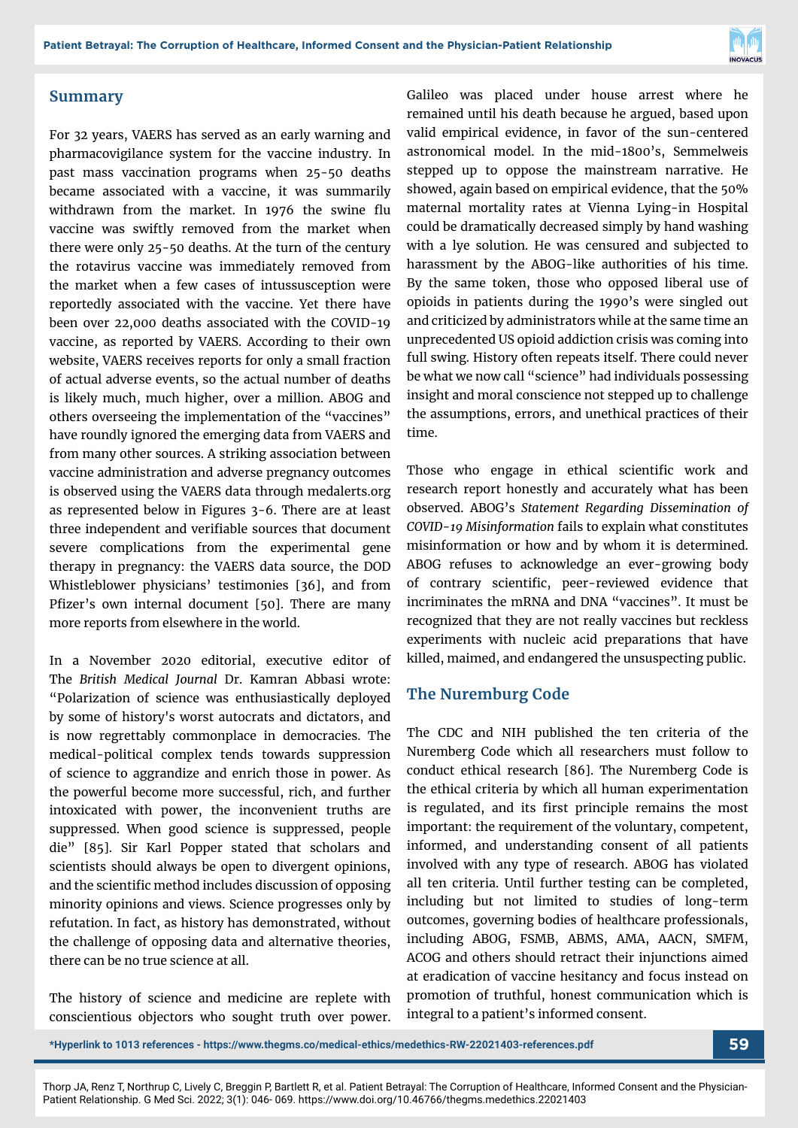

#### **Summary**

For 32 years, VAERS has served as an early warning and pharmacovigilance system for the vaccine industry. In past mass vaccination programs when 25-50 deaths became associated with a vaccine, it was summarily withdrawn from the market. In 1976 the swine flu vaccine was swiftly removed from the market when there were only 25-50 deaths. At the turn of the century the rotavirus vaccine was immediately removed from the market when a few cases of intussusception were reportedly associated with the vaccine. Yet there have been over 22,000 deaths associated with the COVID-19 vaccine, as reported by VAERS. According to their own website, VAERS receives reports for only a small fraction of actual adverse events, so the actual number of deaths is likely much, much higher, over a million. ABOG and others overseeing the implementation of the "vaccines" have roundly ignored the emerging data from VAERS and from many other sources. A striking association between vaccine administration and adverse pregnancy outcomes is observed using the VAERS data through medalerts.org as represented below in Figures 3-6. There are at least three independent and verifiable sources that document severe complications from the experimental gene therapy in pregnancy: the VAERS data source, the DOD Whistleblower physicians' testimonies [36], and from Pfizer's own internal document [50]. There are many more reports from elsewhere in the world.

In a November 2020 editorial, executive editor of The *British Medical Journal* Dr. Kamran Abbasi wrote: "Polarization of science was enthusiastically deployed by some of history's worst autocrats and dictators, and is now regrettably commonplace in democracies. The medical-political complex tends towards suppression of science to aggrandize and enrich those in power. As the powerful become more successful, rich, and further intoxicated with power, the inconvenient truths are suppressed. When good science is suppressed, people die" [85]. Sir Karl Popper stated that scholars and scientists should always be open to divergent opinions, and the scientific method includes discussion of opposing minority opinions and views. Science progresses only by refutation. In fact, as history has demonstrated, without the challenge of opposing data and alternative theories, there can be no true science at all.

The history of science and medicine are replete with conscientious objectors who sought truth over power. Galileo was placed under house arrest where he remained until his death because he argued, based upon valid empirical evidence, in favor of the sun-centered astronomical model. In the mid-1800's, Semmelweis stepped up to oppose the mainstream narrative. He showed, again based on empirical evidence, that the 50% maternal mortality rates at Vienna Lying-in Hospital could be dramatically decreased simply by hand washing with a lye solution. He was censured and subjected to harassment by the ABOG-like authorities of his time. By the same token, those who opposed liberal use of opioids in patients during the 1990's were singled out and criticized by administrators while at the same time an unprecedented US opioid addiction crisis was coming into full swing. History often repeats itself. There could never be what we now call "science" had individuals possessing insight and moral conscience not stepped up to challenge the assumptions, errors, and unethical practices of their time.

Those who engage in ethical scientific work and research report honestly and accurately what has been observed. ABOG's *Statement Regarding Dissemination of COVID-19 Misinformation* fails to explain what constitutes misinformation or how and by whom it is determined. ABOG refuses to acknowledge an ever-growing body of contrary scientific, peer-reviewed evidence that incriminates the mRNA and DNA "vaccines". It must be recognized that they are not really vaccines but reckless experiments with nucleic acid preparations that have killed, maimed, and endangered the unsuspecting public.

#### **The Nuremburg Code**

The CDC and NIH published the ten criteria of the Nuremberg Code which all researchers must follow to conduct ethical research [86]. The Nuremberg Code is the ethical criteria by which all human experimentation is regulated, and its first principle remains the most important: the requirement of the voluntary, competent, informed, and understanding consent of all patients involved with any type of research. ABOG has violated all ten criteria. Until further testing can be completed, including but not limited to studies of long-term outcomes, governing bodies of healthcare professionals, including ABOG, FSMB, ABMS, AMA, AACN, SMFM, ACOG and others should retract their injunctions aimed at eradication of vaccine hesitancy and focus instead on promotion of truthful, honest communication which is integral to a patient's informed consent.

**\*Hyperlink to 1013 references - https://www.thegms.co/medical-ethics/medethics-RW-22021403-references.pdf 59**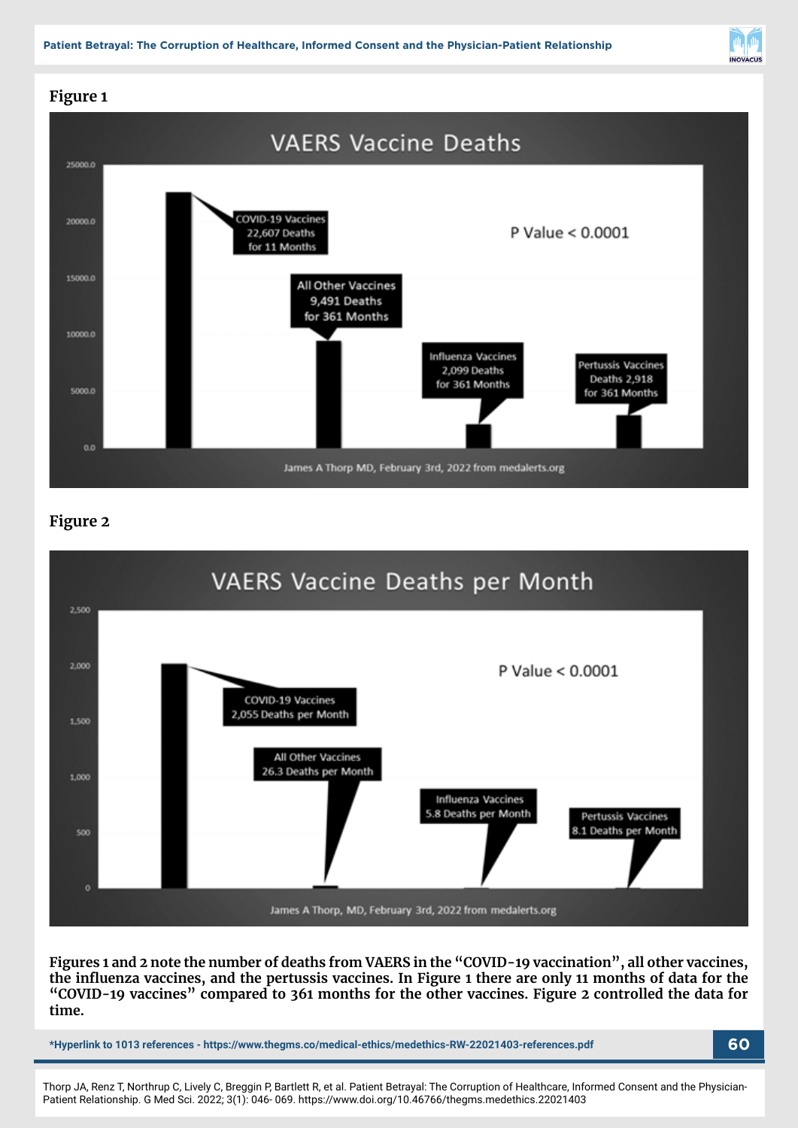

# **Figure 1**



#### **Figure 2**



**Figures 1 and 2 note the number of deaths from VAERS in the "COVID-19 vaccination", all other vaccines, the influenza vaccines, and the pertussis vaccines. In Figure 1 there are only 11 months of data for the "COVID-19 vaccines" compared to 361 months for the other vaccines. Figure 2 controlled the data for time.**

**\*Hyperlink to 1013 references - https://www.thegms.co/medical-ethics/medethics-RW-22021403-references.pdf 60**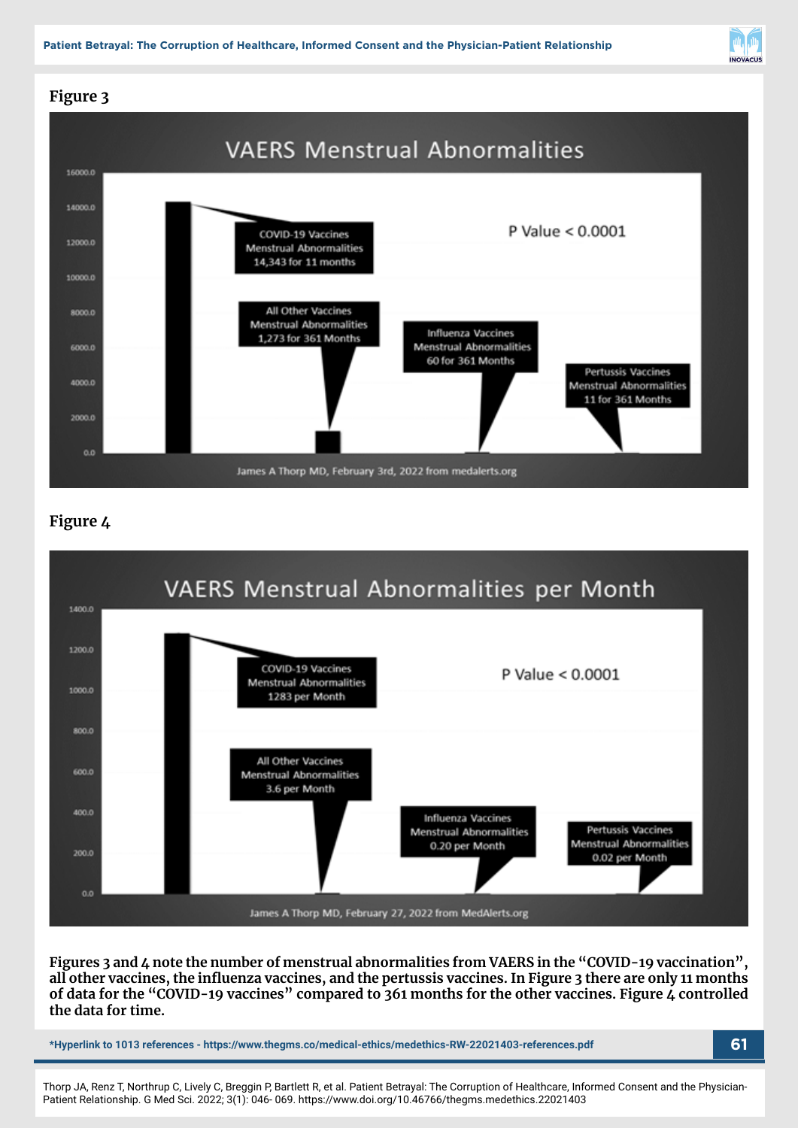**Patient Betrayal: The Corruption of Healthcare, Informed Consent and the Physician-Patient Relationship**



# **Figure 3**



## **Figure 4**



**Figures 3 and 4 note the number of menstrual abnormalities from VAERS in the "COVID-19 vaccination", all other vaccines, the influenza vaccines, and the pertussis vaccines. In Figure 3 there are only 11 months**  of data for the "COVID-19 vaccines" compared to 361 months for the other vaccines. Figure 4 controlled **the data for time.**

**\*Hyperlink to 1013 references - https://www.thegms.co/medical-ethics/medethics-RW-22021403-references.pdf 61**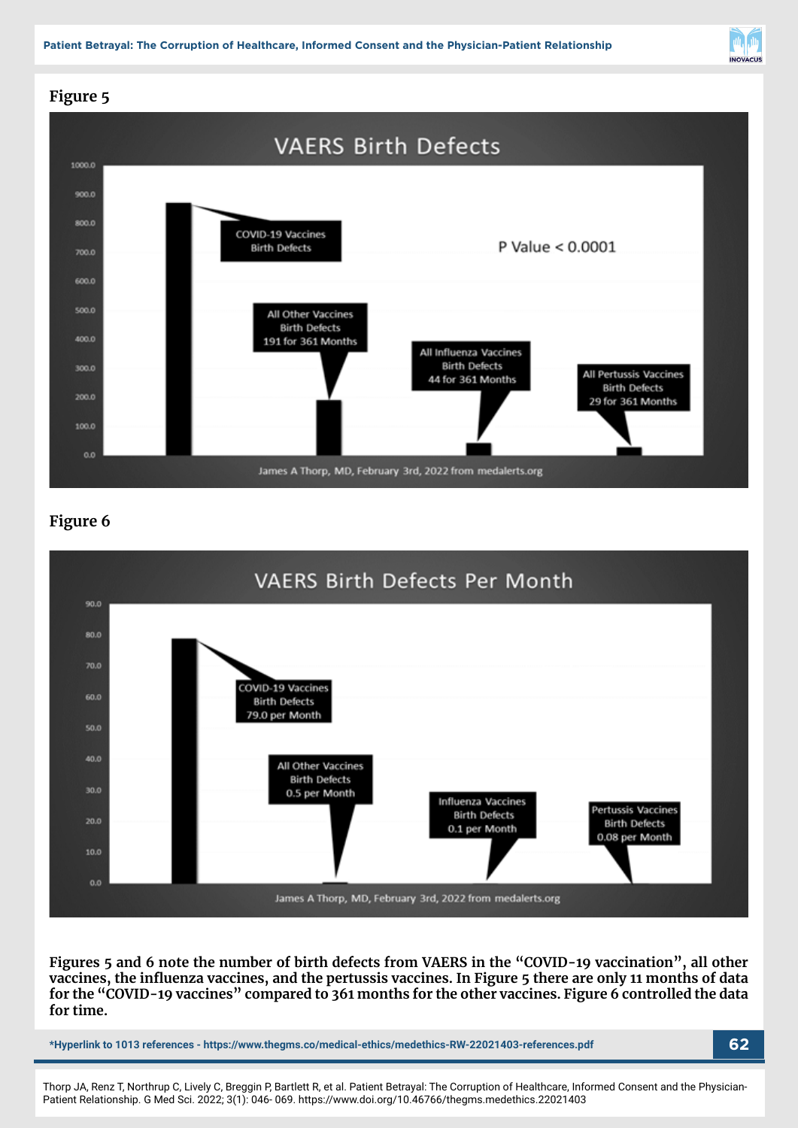

# **Figure 5**



## **Figure 6**



#### **Figures 5 and 6 note the number of birth defects from VAERS in the "COVID-19 vaccination", all other vaccines, the influenza vaccines, and the pertussis vaccines. In Figure 5 there are only 11 months of data for the "COVID-19 vaccines" compared to 361 months for the other vaccines. Figure 6 controlled the data for time.**

**\*Hyperlink to 1013 references - https://www.thegms.co/medical-ethics/medethics-RW-22021403-references.pdf 62**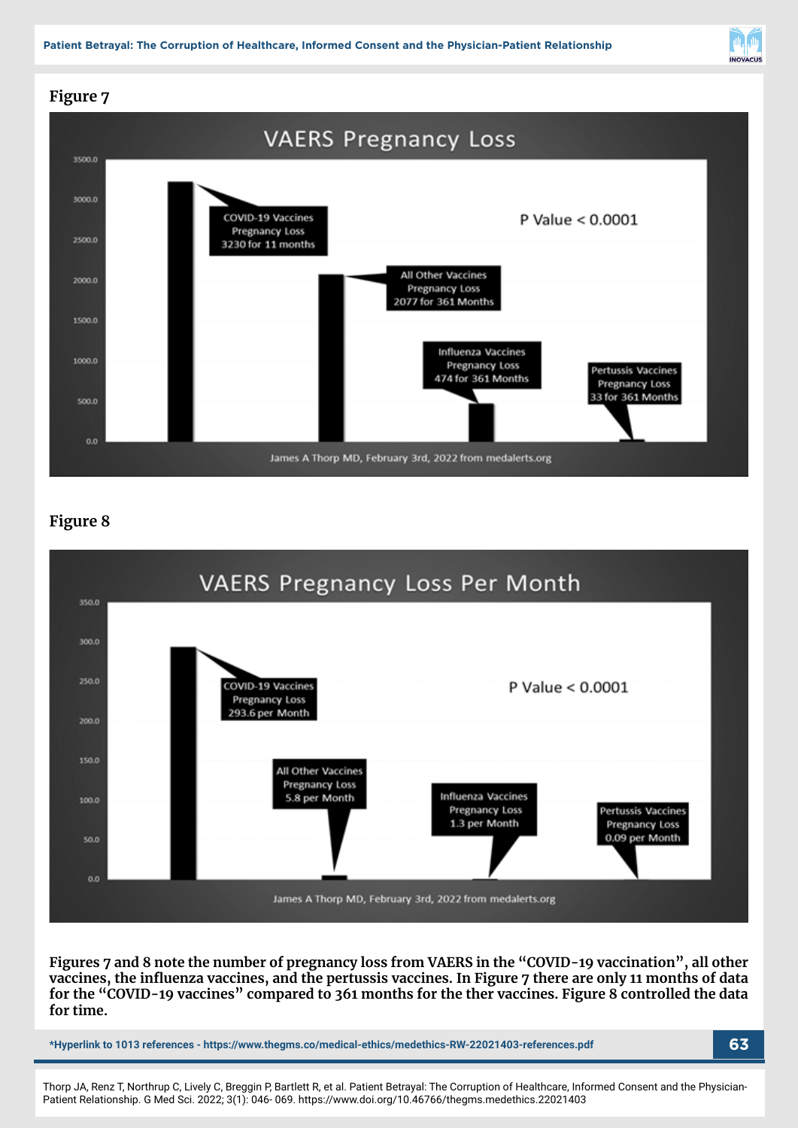

# **Figure 7**



## **Figure 8**



**Figures 7 and 8 note the number of pregnancy loss from VAERS in the "COVID-19 vaccination", all other vaccines, the influenza vaccines, and the pertussis vaccines. In Figure 7 there are only 11 months of data for the "COVID-19 vaccines" compared to 361 months for the ther vaccines. Figure 8 controlled the data for time.**

**\*Hyperlink to 1013 references - https://www.thegms.co/medical-ethics/medethics-RW-22021403-references.pdf 63**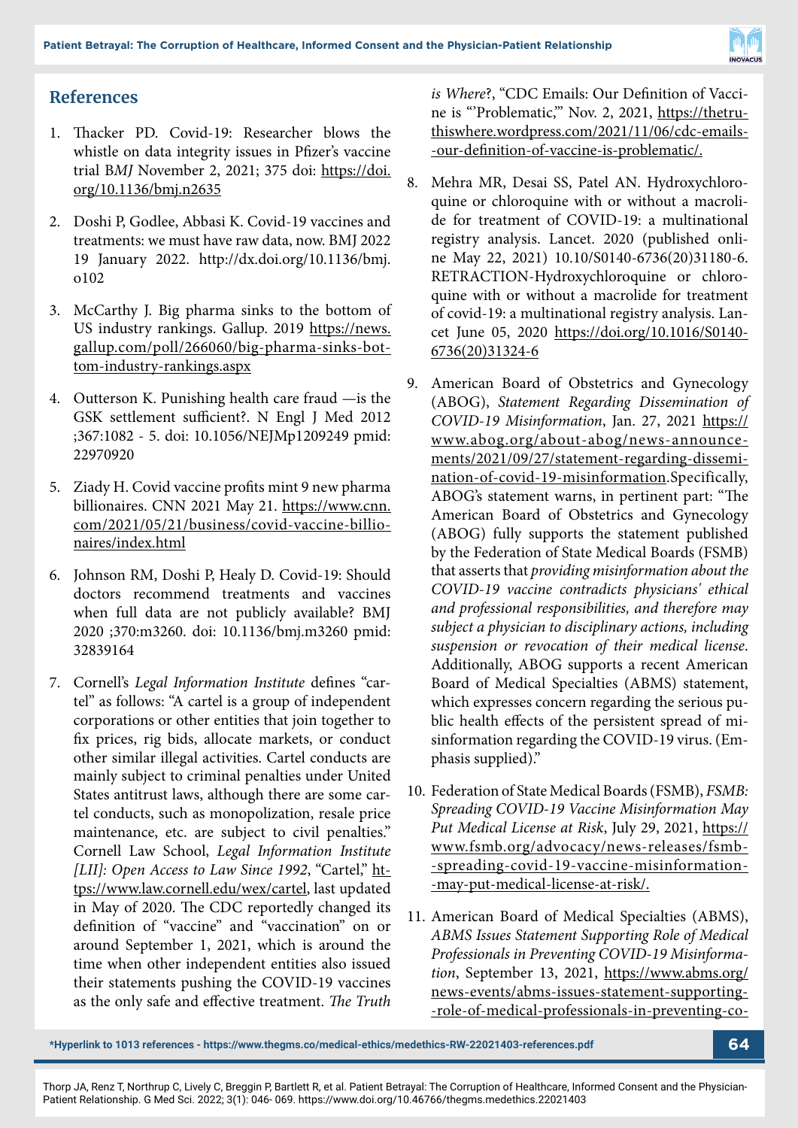

# **References**

- 1. Thacker PD. Covid-19: Researcher blows the whistle on data integrity issues in Pfizer's vaccine trial B*MJ* November 2, 2021; 375 doi: https://doi. org/10.1136/bmj.n2635
- 2. Doshi P, Godlee, Abbasi K. Covid-19 vaccines and treatments: we must have raw data, now. BMJ 2022 19 January 2022. http://dx.doi.org/10.1136/bmj. o102
- 3. McCarthy J. Big pharma sinks to the bottom of US industry rankings. Gallup. 2019 https://news. gallup.com/poll/266060/big-pharma-sinks-bottom-industry-rankings.aspx
- 4. Outterson K. Punishing health care fraud —is the GSK settlement sufficient?. N Engl J Med 2012 ;367:1082 - 5. doi: 10.1056/NEJMp1209249 pmid: 22970920
- 5. Ziady H. Covid vaccine profits mint 9 new pharma billionaires. CNN 2021 May 21. https://www.cnn. com/2021/05/21/business/covid-vaccine-billionaires/index.html
- 6. Johnson RM, Doshi P, Healy D. Covid-19: Should doctors recommend treatments and vaccines when full data are not publicly available? BMJ 2020 ;370:m3260. doi: 10.1136/bmj.m3260 pmid: 32839164
- 7. Cornell's *Legal Information Institute* defines "cartel" as follows: "A cartel is a group of independent corporations or other entities that join together to fix prices, rig bids, allocate markets, or conduct other similar illegal activities. Cartel conducts are mainly subject to criminal penalties under United States antitrust laws, although there are some cartel conducts, such as monopolization, resale price maintenance, etc. are subject to civil penalties." Cornell Law School, *Legal Information Institute [LII]: Open Access to Law Since 1992*, "Cartel," https://www.law.cornell.edu/wex/cartel, last updated in May of 2020. The CDC reportedly changed its definition of "vaccine" and "vaccination" on or around September 1, 2021, which is around the time when other independent entities also issued their statements pushing the COVID-19 vaccines as the only safe and effective treatment. *The Truth*

*is Where*?, "CDC Emails: Our Definition of Vaccine is "'Problematic,'" Nov. 2, 2021, https://thetruthiswhere.wordpress.com/2021/11/06/cdc-emails- -our-definition-of-vaccine-is-problematic/.

- 8. Mehra MR, Desai SS, Patel AN. Hydroxychloroquine or chloroquine with or without a macrolide for treatment of COVID-19: a multinational registry analysis. Lancet. 2020 (published online May 22, 2021) 10.10/S0140-6736(20)31180-6. RETRACTION-Hydroxychloroquine or chloroquine with or without a macrolide for treatment of covid-19: a multinational registry analysis. Lancet June 05, 2020 https://doi.org/10.1016/S0140- 6736(20)31324-6
- 9. American Board of Obstetrics and Gynecology (ABOG), *Statement Regarding Dissemination of COVID-19 Misinformation*, Jan. 27, 2021 https:// www.abog.org/about-abog/news-announcements/2021/09/27/statement-regarding-dissemination-of-covid-19-misinformation.Specifically, ABOG's statement warns, in pertinent part: "The American Board of Obstetrics and Gynecology (ABOG) fully supports the statement published by the Federation of State Medical Boards (FSMB) that asserts that *providing misinformation about the COVID-19 vaccine contradicts physicians' ethical and professional responsibilities, and therefore may subject a physician to disciplinary actions, including suspension or revocation of their medical license*. Additionally, ABOG supports a recent American Board of Medical Specialties (ABMS) statement, which expresses concern regarding the serious public health effects of the persistent spread of misinformation regarding the COVID-19 virus. (Emphasis supplied)."
- 10. Federation of State Medical Boards (FSMB), *FSMB: Spreading COVID-19 Vaccine Misinformation May Put Medical License at Risk*, July 29, 2021, https:// www.fsmb.org/advocacy/news-releases/fsmb- -spreading-covid-19-vaccine-misinformation- -may-put-medical-license-at-risk/.
- 11. American Board of Medical Specialties (ABMS), *ABMS Issues Statement Supporting Role of Medical Professionals in Preventing COVID-19 Misinformation*, September 13, 2021, https://www.abms.org/ news-events/abms-issues-statement-supporting- -role-of-medical-professionals-in-preventing-co-

**<sup>\*</sup>Hyperlink to 1013 references - https://www.thegms.co/medical-ethics/medethics-RW-22021403-references.pdf 64**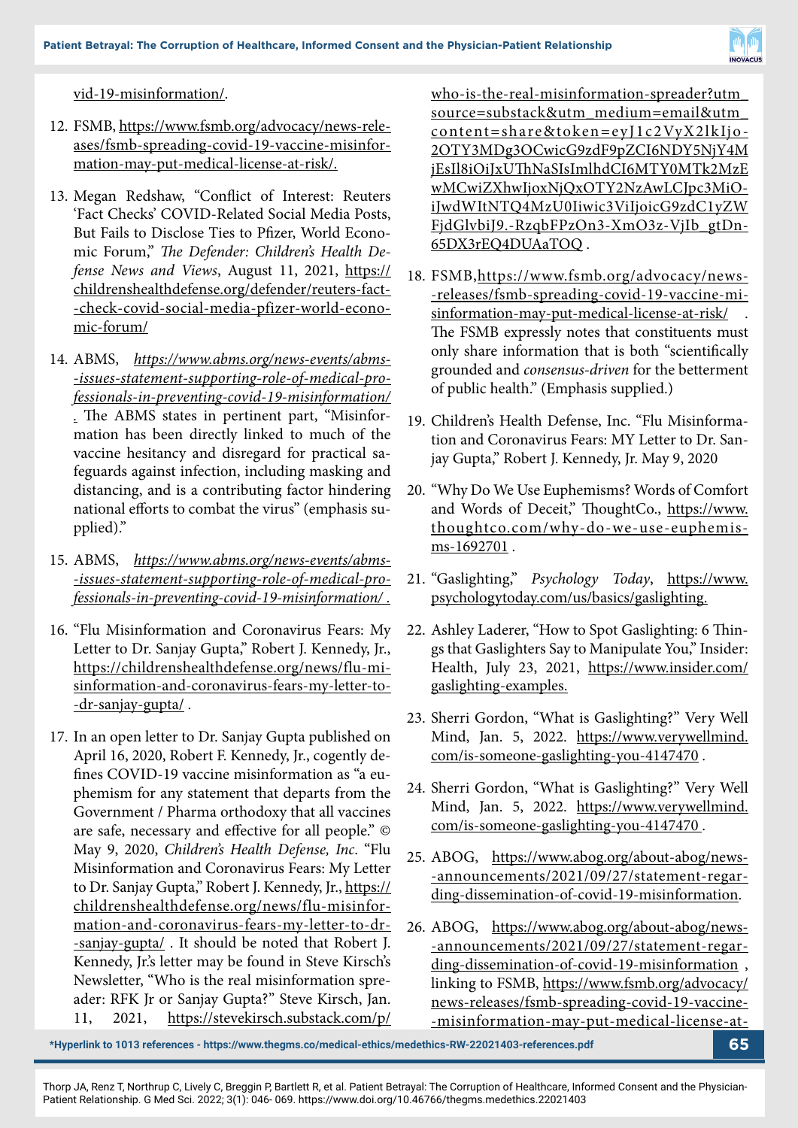

vid-19-misinformation/.

- 12. FSMB, https://www.fsmb.org/advocacy/news-releases/fsmb-spreading-covid-19-vaccine-misinformation-may-put-medical-license-at-risk/.
- 13. Megan Redshaw, "Conflict of Interest: Reuters 'Fact Checks' COVID-Related Social Media Posts, But Fails to Disclose Ties to Pfizer, World Economic Forum," *The Defender: Children's Health Defense News and Views*, August 11, 2021, https:// childrenshealthdefense.org/defender/reuters-fact- -check-covid-social-media-pfizer-world-economic-forum/
- 14. ABMS, *https://www.abms.org/news-events/abms- -issues-statement-supporting-role-of-medical-professionals-in-preventing-covid-19-misinformation/ .* The ABMS states in pertinent part, "Misinformation has been directly linked to much of the vaccine hesitancy and disregard for practical safeguards against infection, including masking and distancing, and is a contributing factor hindering national efforts to combat the virus" (emphasis supplied)."
- 15. ABMS, *https://www.abms.org/news-events/abms- -issues-statement-supporting-role-of-medical-professionals-in-preventing-covid-19-misinformation/ .*
- 16. "Flu Misinformation and Coronavirus Fears: My Letter to Dr. Sanjay Gupta," Robert J. Kennedy, Jr., https://childrenshealthdefense.org/news/flu-misinformation-and-coronavirus-fears-my-letter-to- -dr-sanjay-gupta/.
- 17. In an open letter to Dr. Sanjay Gupta published on April 16, 2020, Robert F. Kennedy, Jr., cogently defines COVID-19 vaccine misinformation as "a euphemism for any statement that departs from the Government / Pharma orthodoxy that all vaccines are safe, necessary and effective for all people." © May 9, 2020, *Children's Health Defense, Inc*. "Flu Misinformation and Coronavirus Fears: My Letter to Dr. Sanjay Gupta," Robert J. Kennedy, Jr., https:// childrenshealthdefense.org/news/flu-misinformation-and-coronavirus-fears-my-letter-to-dr- -sanjay-gupta/ . It should be noted that Robert J. Kennedy, Jr.'s letter may be found in Steve Kirsch's Newsletter, "Who is the real misinformation spreader: RFK Jr or Sanjay Gupta?" Steve Kirsch, Jan. 11, 2021, https://stevekirsch.substack.com/p/

who-is-the-real-misinformation-spreader?utm\_ source=substack&utm\_medium=email&utm\_ content=share&token=eyJ1c2VyX2lkIjo-2OTY3MDg3OCwicG9zdF9pZCI6NDY5NjY4M jEsIl8iOiJxUThNaSIsImlhdCI6MTY0MTk2MzE wMCwiZXhwIjoxNjQxOTY2NzAwLCJpc3MiOiJwdWItNTQ4MzU0Iiwic3ViIjoicG9zdC1yZW FjdGlvbiJ9.-RzqbFPzOn3-XmO3z-VjIb\_gtDn-65DX3rEQ4DUAaTOQ .

- 18. FSMB,https://www.fsmb.org/advocacy/news- -releases/fsmb-spreading-covid-19-vaccine-misinformation-may-put-medical-license-at-risk/ . The FSMB expressly notes that constituents must only share information that is both "scientifically grounded and *consensus-driven* for the betterment of public health." (Emphasis supplied.)
- 19. Children's Health Defense, Inc. "Flu Misinformation and Coronavirus Fears: MY Letter to Dr. Sanjay Gupta," Robert J. Kennedy, Jr. May 9, 2020
- 20. "Why Do We Use Euphemisms? Words of Comfort and Words of Deceit," ThoughtCo., https://www. thoughtco.com/why-do-we-use-euphemisms-1692701.
- 21. "Gaslighting," *Psychology Today*, https://www. psychologytoday.com/us/basics/gaslighting.
- 22. Ashley Laderer, "How to Spot Gaslighting: 6 Things that Gaslighters Say to Manipulate You," Insider: Health, July 23, 2021, https://www.insider.com/ gaslighting-examples.
- 23. Sherri Gordon, "What is Gaslighting?" Very Well Mind, Jan. 5, 2022. https://www.verywellmind. com/is-someone-gaslighting-you-4147470 .
- 24. Sherri Gordon, "What is Gaslighting?" Very Well Mind, Jan. 5, 2022. https://www.verywellmind. com/is-someone-gaslighting-you-4147470 .
- 25. ABOG, https://www.abog.org/about-abog/news- -announcements/2021/09/27/statement-regarding-dissemination-of-covid-19-misinformation.
- 26. ABOG, https://www.abog.org/about-abog/news- -announcements/2021/09/27/statement-regarding-dissemination-of-covid-19-misinformation , linking to FSMB, https://www.fsmb.org/advocacy/ news-releases/fsmb-spreading-covid-19-vaccine- -misinformation-may-put-medical-license-at-

**\*Hyperlink to 1013 references - https://www.thegms.co/medical-ethics/medethics-RW-22021403-references.pdf 65**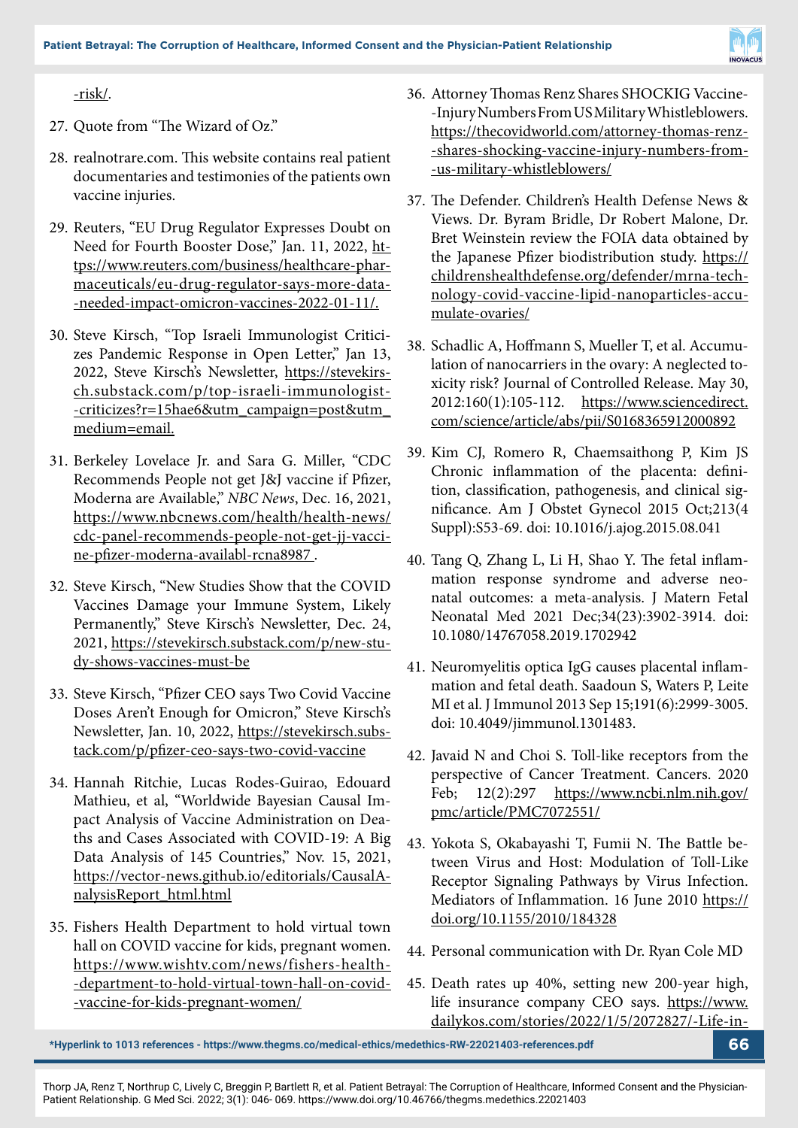

#### -risk/.

- 27. Quote from "The Wizard of Oz."
- 28. realnotrare.com. This website contains real patient documentaries and testimonies of the patients own vaccine injuries.
- 29. Reuters, "EU Drug Regulator Expresses Doubt on Need for Fourth Booster Dose," Jan. 11, 2022, https://www.reuters.com/business/healthcare-pharmaceuticals/eu-drug-regulator-says-more-data- -needed-impact-omicron-vaccines-2022-01-11/.
- 30. Steve Kirsch, "Top Israeli Immunologist Criticizes Pandemic Response in Open Letter," Jan 13, 2022, Steve Kirsch's Newsletter, https://stevekirsch.substack.com/p/top-israeli-immunologist- -criticizes?r=15hae6&utm\_campaign=post&utm\_ medium=email.
- 31. Berkeley Lovelace Jr. and Sara G. Miller, "CDC Recommends People not get J&J vaccine if Pfizer, Moderna are Available," *NBC News*, Dec. 16, 2021, https://www.nbcnews.com/health/health-news/ cdc-panel-recommends-people-not-get-jj-vaccine-pfizer-moderna-availabl-rcna8987 .
- 32. Steve Kirsch, "New Studies Show that the COVID Vaccines Damage your Immune System, Likely Permanently," Steve Kirsch's Newsletter, Dec. 24, 2021, https://stevekirsch.substack.com/p/new-study-shows-vaccines-must-be
- 33. Steve Kirsch, "Pfizer CEO says Two Covid Vaccine Doses Aren't Enough for Omicron," Steve Kirsch's Newsletter, Jan. 10, 2022, https://stevekirsch.substack.com/p/pfizer-ceo-says-two-covid-vaccine
- 34. Hannah Ritchie, Lucas Rodes-Guirao, Edouard Mathieu, et al, "Worldwide Bayesian Causal Impact Analysis of Vaccine Administration on Deaths and Cases Associated with COVID-19: A Big Data Analysis of 145 Countries," Nov. 15, 2021, https://vector-news.github.io/editorials/CausalAnalysisReport\_html.html
- 35. Fishers Health Department to hold virtual town hall on COVID vaccine for kids, pregnant women. https://www.wishtv.com/news/fishers-health- -department-to-hold-virtual-town-hall-on-covid- -vaccine-for-kids-pregnant-women/
- 36. Attorney Thomas Renz Shares SHOCKIG Vaccine- -Injury Numbers From US Military Whistleblowers. https://thecovidworld.com/attorney-thomas-renz- -shares-shocking-vaccine-injury-numbers-from- -us-military-whistleblowers/
- 37. The Defender. Children's Health Defense News & Views. Dr. Byram Bridle, Dr Robert Malone, Dr. Bret Weinstein review the FOIA data obtained by the Japanese Pfizer biodistribution study. https:// childrenshealthdefense.org/defender/mrna-technology-covid-vaccine-lipid-nanoparticles-accumulate-ovaries/
- 38. Schadlic A, Hoffmann S, Mueller T, et al. Accumulation of nanocarriers in the ovary: A neglected toxicity risk? Journal of Controlled Release. May 30, 2012:160(1):105-112. https://www.sciencedirect. com/science/article/abs/pii/S0168365912000892
- 39. Kim CJ, Romero R, Chaemsaithong P, Kim JS Chronic inflammation of the placenta: definition, classification, pathogenesis, and clinical significance. Am J Obstet Gynecol 2015 Oct;213(4 Suppl):S53-69. doi: 10.1016/j.ajog.2015.08.041
- 40. Tang Q, Zhang L, Li H, Shao Y. The fetal inflammation response syndrome and adverse neonatal outcomes: a meta-analysis. J Matern Fetal Neonatal Med 2021 Dec;34(23):3902-3914. doi: 10.1080/14767058.2019.1702942
- 41. Neuromyelitis optica IgG causes placental inflammation and fetal death. Saadoun S, Waters P, Leite MI et al. J Immunol 2013 Sep 15;191(6):2999-3005. doi: 10.4049/jimmunol.1301483.
- 42. Javaid N and Choi S. Toll-like receptors from the perspective of Cancer Treatment. Cancers. 2020 Feb; 12(2):297 https://www.ncbi.nlm.nih.gov/ pmc/article/PMC7072551/
- 43. Yokota S, Okabayashi T, Fumii N. The Battle between Virus and Host: Modulation of Toll-Like Receptor Signaling Pathways by Virus Infection. Mediators of Inflammation. 16 June 2010 https:// doi.org/10.1155/2010/184328
- 44. Personal communication with Dr. Ryan Cole MD
- 45. Death rates up 40%, setting new 200-year high, life insurance company CEO says. https://www. dailykos.com/stories/2022/1/5/2072827/-Life-in-

**\*Hyperlink to 1013 references - https://www.thegms.co/medical-ethics/medethics-RW-22021403-references.pdf 66**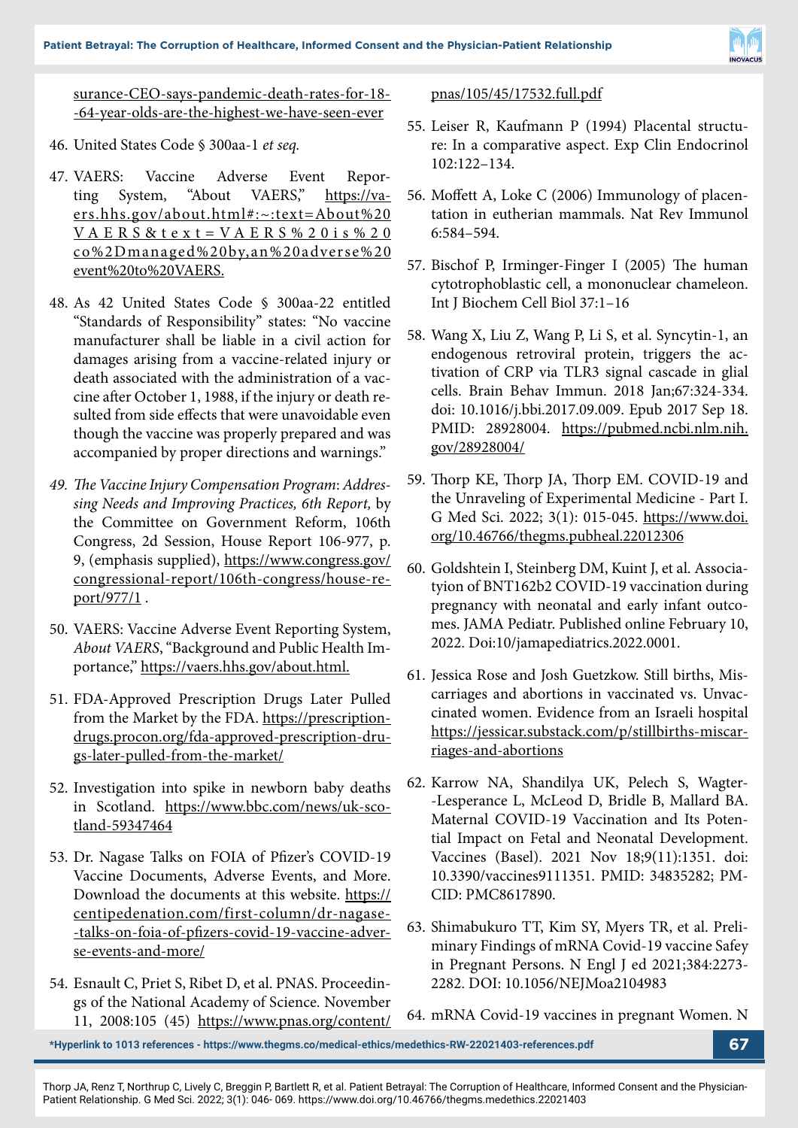

surance-CEO-says-pandemic-death-rates-for-18- -64-year-olds-are-the-highest-we-have-seen-ever

- 46. United States Code § 300aa-1 *et seq.*
- 47. VAERS: Vaccine Adverse Event Reporting System, "About VAERS," https://vaers.hhs.gov/about.html#:~:text=About%20 VA E R S & t e x t = VA E R S % 2 0 i s % 2 0 co%2Dmanaged%20by,an%20adverse%20 event%20to%20VAERS.
- 48. As 42 United States Code § 300aa-22 entitled "Standards of Responsibility" states: "No vaccine manufacturer shall be liable in a civil action for damages arising from a vaccine-related injury or death associated with the administration of a vaccine after October 1, 1988, if the injury or death resulted from side effects that were unavoidable even though the vaccine was properly prepared and was accompanied by proper directions and warnings."
- *49. The Vaccine Injury Compensation Program*: *Addressing Needs and Improving Practices, 6th Report,* by the Committee on Government Reform, 106th Congress, 2d Session, House Report 106-977, p. 9, (emphasis supplied), https://www.congress.gov/ congressional-report/106th-congress/house-report/977/1 .
- 50. VAERS: Vaccine Adverse Event Reporting System, *About VAERS*, "Background and Public Health Importance," https://vaers.hhs.gov/about.html.
- 51. FDA-Approved Prescription Drugs Later Pulled from the Market by the FDA. https://prescriptiondrugs.procon.org/fda-approved-prescription-drugs-later-pulled-from-the-market/
- 52. Investigation into spike in newborn baby deaths in Scotland. https://www.bbc.com/news/uk-scotland-59347464
- 53. Dr. Nagase Talks on FOIA of Pfizer's COVID-19 Vaccine Documents, Adverse Events, and More. Download the documents at this website. https:// centipedenation.com/first-column/dr-nagase- -talks-on-foia-of-pfizers-covid-19-vaccine-adverse-events-and-more/
- 54. Esnault C, Priet S, Ribet D, et al. PNAS. Proceedings of the National Academy of Science. November 11, 2008:105 (45) https://www.pnas.org/content/

pnas/105/45/17532.full.pdf

- 55. Leiser R, Kaufmann P (1994) Placental structure: In a comparative aspect. Exp Clin Endocrinol 102:122–134.
- 56. Moffett A, Loke C (2006) Immunology of placentation in eutherian mammals. Nat Rev Immunol 6:584–594.
- 57. Bischof P, Irminger-Finger I (2005) The human cytotrophoblastic cell, a mononuclear chameleon. Int J Biochem Cell Biol 37:1–16
- 58. Wang X, Liu Z, Wang P, Li S, et al. Syncytin-1, an endogenous retroviral protein, triggers the activation of CRP via TLR3 signal cascade in glial cells. Brain Behav Immun. 2018 Jan;67:324-334. doi: 10.1016/j.bbi.2017.09.009. Epub 2017 Sep 18. PMID: 28928004. https://pubmed.ncbi.nlm.nih. gov/28928004/
- 59. Thorp KE, Thorp JA, Thorp EM. COVID-19 and the Unraveling of Experimental Medicine - Part I. G Med Sci. 2022; 3(1): 015-045. https://www.doi. org/10.46766/thegms.pubheal.22012306
- 60. Goldshtein I, Steinberg DM, Kuint J, et al. Associatyion of BNT162b2 COVID-19 vaccination during pregnancy with neonatal and early infant outcomes. JAMA Pediatr. Published online February 10, 2022. Doi:10/jamapediatrics.2022.0001.
- 61. Jessica Rose and Josh Guetzkow. Still births, Miscarriages and abortions in vaccinated vs. Unvaccinated women. Evidence from an Israeli hospital https://jessicar.substack.com/p/stillbirths-miscarriages-and-abortions
- 62. Karrow NA, Shandilya UK, Pelech S, Wagter- -Lesperance L, McLeod D, Bridle B, Mallard BA. Maternal COVID-19 Vaccination and Its Potential Impact on Fetal and Neonatal Development. Vaccines (Basel). 2021 Nov 18;9(11):1351. doi: 10.3390/vaccines9111351. PMID: 34835282; PM-CID: PMC8617890.
- 63. Shimabukuro TT, Kim SY, Myers TR, et al. Preliminary Findings of mRNA Covid-19 vaccine Safey in Pregnant Persons. N Engl J ed 2021;384:2273- 2282. DOI: 10.1056/NEJMoa2104983
- 64. mRNA Covid-19 vaccines in pregnant Women. N

**\*Hyperlink to 1013 references - https://www.thegms.co/medical-ethics/medethics-RW-22021403-references.pdf 67**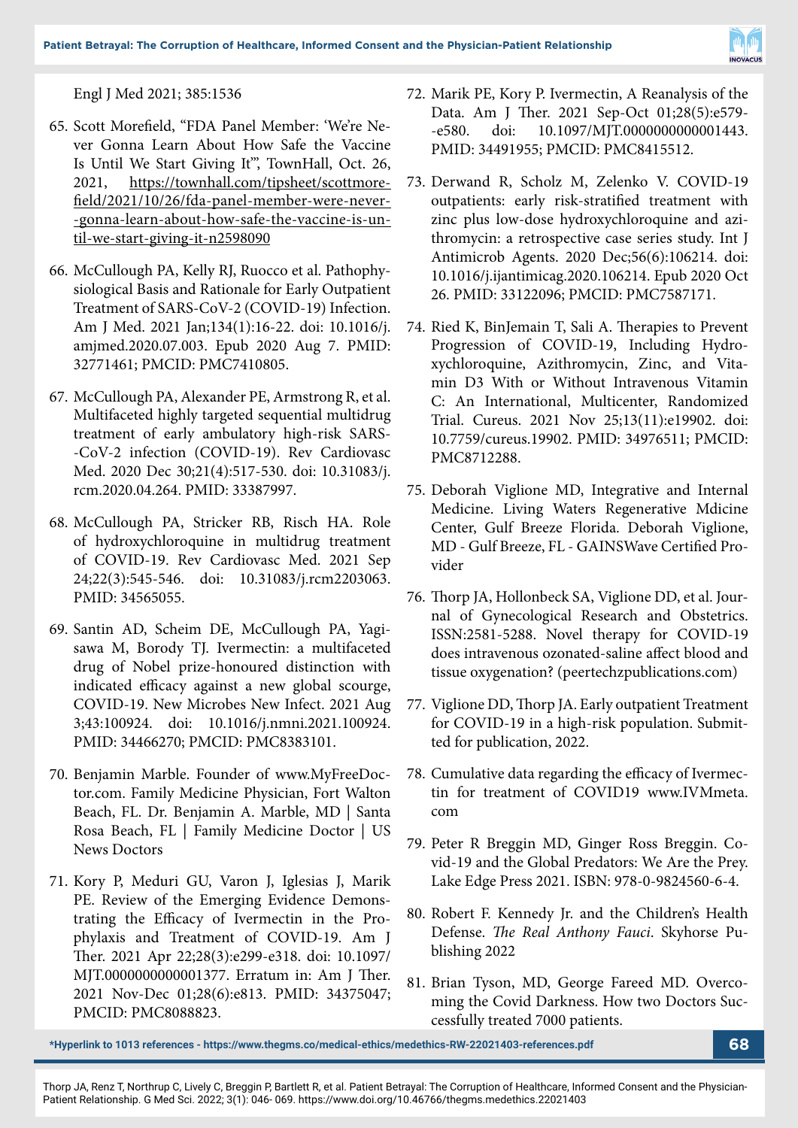

Engl J Med 2021; 385:1536

- 65. Scott Morefield, "FDA Panel Member: 'We're Never Gonna Learn About How Safe the Vaccine Is Until We Start Giving It'", TownHall, Oct. 26, 2021, https://townhall.com/tipsheet/scottmorefield/2021/10/26/fda-panel-member-were-never- -gonna-learn-about-how-safe-the-vaccine-is-until-we-start-giving-it-n2598090
- 66. McCullough PA, Kelly RJ, Ruocco et al. Pathophysiological Basis and Rationale for Early Outpatient Treatment of SARS-CoV-2 (COVID-19) Infection. Am J Med. 2021 Jan;134(1):16-22. doi: 10.1016/j. amjmed.2020.07.003. Epub 2020 Aug 7. PMID: 32771461; PMCID: PMC7410805.
- 67. McCullough PA, Alexander PE, Armstrong R, et al. Multifaceted highly targeted sequential multidrug treatment of early ambulatory high-risk SARS- -CoV-2 infection (COVID-19). Rev Cardiovasc Med. 2020 Dec 30;21(4):517-530. doi: 10.31083/j. rcm.2020.04.264. PMID: 33387997.
- 68. McCullough PA, Stricker RB, Risch HA. Role of hydroxychloroquine in multidrug treatment of COVID-19. Rev Cardiovasc Med. 2021 Sep 24;22(3):545-546. doi: 10.31083/j.rcm2203063. PMID: 34565055.
- 69. Santin AD, Scheim DE, McCullough PA, Yagisawa M, Borody TJ. Ivermectin: a multifaceted drug of Nobel prize-honoured distinction with indicated efficacy against a new global scourge, COVID-19. New Microbes New Infect. 2021 Aug 3;43:100924. doi: 10.1016/j.nmni.2021.100924. PMID: 34466270; PMCID: PMC8383101.
- 70. Benjamin Marble. Founder of www.MyFreeDoctor.com. Family Medicine Physician, Fort Walton Beach, FL. Dr. Benjamin A. Marble, MD | Santa Rosa Beach, FL | Family Medicine Doctor | US News Doctors
- 71. Kory P, Meduri GU, Varon J, Iglesias J, Marik PE. Review of the Emerging Evidence Demonstrating the Efficacy of Ivermectin in the Prophylaxis and Treatment of COVID-19. Am J Ther. 2021 Apr 22;28(3):e299-e318. doi: 10.1097/ MJT.0000000000001377. Erratum in: Am J Ther. 2021 Nov-Dec 01;28(6):e813. PMID: 34375047; PMCID: PMC8088823.
- 72. Marik PE, Kory P. Ivermectin, A Reanalysis of the Data. Am J Ther. 2021 Sep-Oct 01;28(5):e579- -e580. doi: 10.1097/MJT.0000000000001443. PMID: 34491955; PMCID: PMC8415512.
- 73. Derwand R, Scholz M, Zelenko V. COVID-19 outpatients: early risk-stratified treatment with zinc plus low-dose hydroxychloroquine and azithromycin: a retrospective case series study. Int J Antimicrob Agents. 2020 Dec;56(6):106214. doi: 10.1016/j.ijantimicag.2020.106214. Epub 2020 Oct 26. PMID: 33122096; PMCID: PMC7587171.
- 74. Ried K, BinJemain T, Sali A. Therapies to Prevent Progression of COVID-19, Including Hydroxychloroquine, Azithromycin, Zinc, and Vitamin D3 With or Without Intravenous Vitamin C: An International, Multicenter, Randomized Trial. Cureus. 2021 Nov 25;13(11):e19902. doi: 10.7759/cureus.19902. PMID: 34976511; PMCID: PMC8712288.
- 75. Deborah Viglione MD, Integrative and Internal Medicine. Living Waters Regenerative Mdicine Center, Gulf Breeze Florida. Deborah Viglione, MD - Gulf Breeze, FL - GAINSWave Certified Provider
- 76. Thorp JA, Hollonbeck SA, Viglione DD, et al. Journal of Gynecological Research and Obstetrics. ISSN:2581-5288. Novel therapy for COVID-19 does intravenous ozonated-saline affect blood and tissue oxygenation? (peertechzpublications.com)
- 77. Viglione DD, Thorp JA. Early outpatient Treatment for COVID-19 in a high-risk population. Submitted for publication, 2022.
- 78. Cumulative data regarding the efficacy of Ivermectin for treatment of COVID19 www.IVMmeta. com
- 79. Peter R Breggin MD, Ginger Ross Breggin. Covid-19 and the Global Predators: We Are the Prey. Lake Edge Press 2021. ISBN: 978-0-9824560-6-4.
- 80. Robert F. Kennedy Jr. and the Children's Health Defense. *The Real Anthony Fauci*. Skyhorse Publishing 2022
- 81. Brian Tyson, MD, George Fareed MD. Overcoming the Covid Darkness. How two Doctors Successfully treated 7000 patients.

**\*Hyperlink to 1013 references - https://www.thegms.co/medical-ethics/medethics-RW-22021403-references.pdf 68**